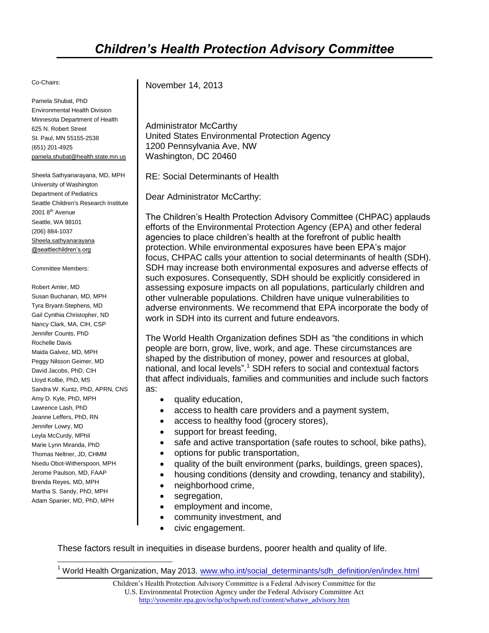#### Co-Chairs:

Pamela Shubat, PhD Environmental Health Division Minnesota Department of Health 625 N. Robert Street St. Paul, MN 55155-2538 (651) 201-4925 pamela.shubat@health.state.mn.us

Sheela Sathyanarayana, MD, MPH University of Washington Department of Pediatrics Seattle Children's Research Institute  $20018^{\text{th}}$  Avenue Seattle, WA 98101 (206) 884-1037 Sheela.sathyanarayana @seattlechildren's.org

#### Committee Members:

Robert Amler, MD Susan Buchanan, MD, MPH Tyra Bryant-Stephens, MD Gail Cynthia Christopher, ND Nancy Clark, MA, CIH, CSP Jennifer Counts, PhD Rochelle Davis Maida Galvez, MD, MPH Peggy Nilsson Geimer, MD David Jacobs, PhD, CIH Lloyd Kolbe, PhD, MS Sandra W. Kuntz, PhD, APRN, CNS Amy D. Kyle, PhD, MPH Lawrence Lash, PhD Jeanne Leffers, PhD, RN Jennifer Lowry, MD Leyla McCurdy, MPhil Marie Lynn Miranda, PhD Thomas Neltner, JD, CHMM Nsedu Obot-Witherspoon, MPH Jerome Paulson, MD, FAAP Brenda Reyes, MD, MPH Martha S. Sandy, PhD, MPH Adam Spanier, MD, PhD, MPH

 $\overline{\phantom{a}}$ 

November 14, 2013

Administrator McCarthy United States Environmental Protection Agency 1200 Pennsylvania Ave, NW Washington, DC 20460

RE: Social Determinants of Health

Dear Administrator McCarthy:

The Children's Health Protection Advisory Committee (CHPAC) applauds efforts of the Environmental Protection Agency (EPA) and other federal agencies to place children's health at the forefront of public health protection. While environmental exposures have been EPA's major focus, CHPAC calls your attention to social determinants of health (SDH). SDH may increase both environmental exposures and adverse effects of such exposures. Consequently, SDH should be explicitly considered in assessing exposure impacts on all populations, particularly children and other vulnerable populations. Children have unique vulnerabilities to adverse environments. We recommend that EPA incorporate the body of work in SDH into its current and future endeavors.

The World Health Organization defines SDH as "the conditions in which people are born, grow, live, work, and age. These circumstances are shaped by the distribution of money, power and resources at global, national, and local levels".<sup>1</sup> SDH refers to social and contextual factors that affect individuals, families and communities and include such factors as:

- quality education,
- access to health care providers and a payment system,
- access to healthy food (grocery stores),
- support for breast feeding,
- safe and active transportation (safe routes to school, bike paths),
- options for public transportation,
- quality of the built environment (parks, buildings, green spaces),
- housing conditions (density and crowding, tenancy and stability),
- neighborhood crime,
- segregation,
- employment and income,
- community investment, and
- civic engagement.

These factors result in inequities in disease burdens, poorer health and quality of life.

<sup>1</sup> World Health Organization, May 2013. [www.who.int/social\\_determinants/sdh\\_definition/en/index.html](http://www.who.int/social_determinants/sdh_definition/en/index.html)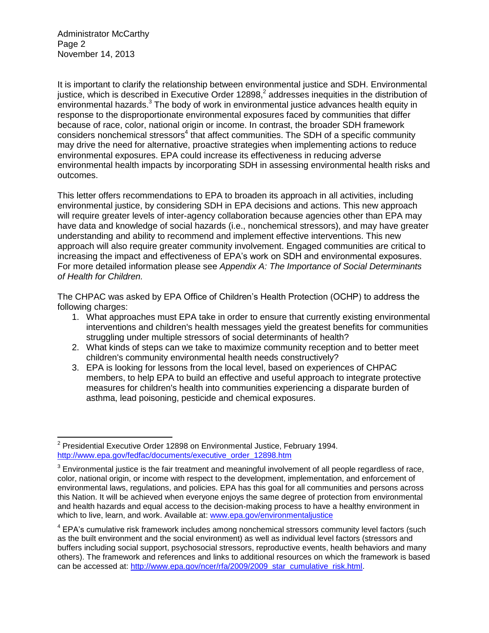Administrator McCarthy Page 2 November 14, 2013

It is important to clarify the relationship between environmental justice and SDH. Environmental justice, which is described in Executive Order 12898,<sup>2</sup> addresses inequities in the distribution of environmental hazards.<sup>3</sup> The body of work in environmental justice advances health equity in response to the disproportionate environmental exposures faced by communities that differ because of race, color, national origin or income. In contrast, the broader SDH framework  $\cos$  considers nonchemical stressors<sup>4</sup> that affect communities. The SDH of a specific community may drive the need for alternative, proactive strategies when implementing actions to reduce environmental exposures. EPA could increase its effectiveness in reducing adverse environmental health impacts by incorporating SDH in assessing environmental health risks and outcomes.

This letter offers recommendations to EPA to broaden its approach in all activities, including environmental justice, by considering SDH in EPA decisions and actions. This new approach will require greater levels of inter-agency collaboration because agencies other than EPA may have data and knowledge of social hazards (i.e., nonchemical stressors), and may have greater understanding and ability to recommend and implement effective interventions. This new approach will also require greater community involvement. Engaged communities are critical to increasing the impact and effectiveness of EPA's work on SDH and environmental exposures. For more detailed information please see *Appendix A: The Importance of Social Determinants of Health for Children.*

The CHPAC was asked by EPA Office of Children's Health Protection (OCHP) to address the following charges:

- 1. What approaches must EPA take in order to ensure that currently existing environmental interventions and children's health messages yield the greatest benefits for communities struggling under multiple stressors of social determinants of health?
- 2. What kinds of steps can we take to maximize community reception and to better meet children's community environmental health needs constructively?
- 3. EPA is looking for lessons from the local level, based on experiences of CHPAC members, to help EPA to build an effective and useful approach to integrate protective measures for children's health into communities experiencing a disparate burden of asthma, lead poisoning, pesticide and chemical exposures.

 2 Presidential Executive Order 12898 on Environmental Justice, February 1994. [http://www.epa.gov/fedfac/documents/executive\\_order\\_12898.htm](http://www.epa.gov/fedfac/documents/executive_order_12898.htm)

 $3$  Environmental justice is the fair treatment and meaningful involvement of all people regardless of race, color, national origin, or income with respect to the development, implementation, and enforcement of environmental laws, regulations, and policies. EPA has this goal for all communities and persons across this Nation. It will be achieved when everyone enjoys the same degree of protection from environmental and health hazards and equal access to the decision-making process to have a healthy environment in which to live, learn, and work. Available at: [www.epa.gov/environmentaljustice](http://www.epa.gov/environmentaljustice)

<sup>&</sup>lt;sup>4</sup> EPA's cumulative risk framework includes among nonchemical stressors community level factors (such as the built environment and the social environment) as well as individual level factors (stressors and buffers including social support, psychosocial stressors, reproductive events, health behaviors and many others). The framework and references and links to additional resources on which the framework is based can be accessed at: [http://www.epa.gov/ncer/rfa/2009/2009\\_star\\_cumulative\\_risk.html.](http://www.epa.gov/ncer/rfa/2009/2009_star_cumulative_risk.html)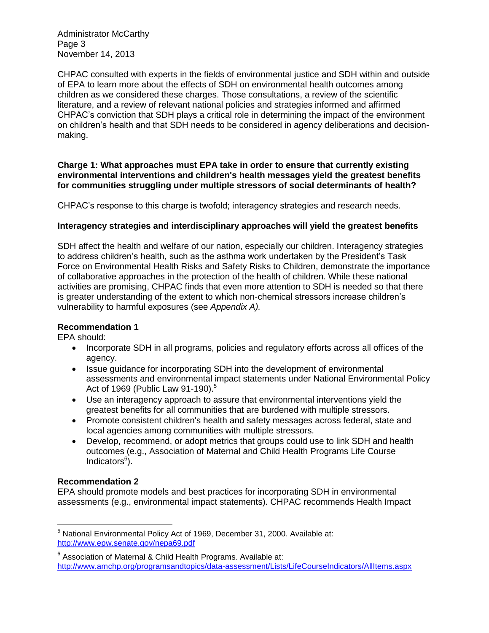Administrator McCarthy Page 3 November 14, 2013

CHPAC consulted with experts in the fields of environmental justice and SDH within and outside of EPA to learn more about the effects of SDH on environmental health outcomes among children as we considered these charges. Those consultations, a review of the scientific literature, and a review of relevant national policies and strategies informed and affirmed CHPAC's conviction that SDH plays a critical role in determining the impact of the environment on children's health and that SDH needs to be considered in agency deliberations and decisionmaking.

#### **Charge 1: What approaches must EPA take in order to ensure that currently existing environmental interventions and children's health messages yield the greatest benefits for communities struggling under multiple stressors of social determinants of health?**

CHPAC's response to this charge is twofold; interagency strategies and research needs.

### **Interagency strategies and interdisciplinary approaches will yield the greatest benefits**

SDH affect the health and welfare of our nation, especially our children. Interagency strategies to address children's health, such as the asthma work undertaken by the President's Task Force on Environmental Health Risks and Safety Risks to Children, demonstrate the importance of collaborative approaches in the protection of the health of children. While these national activities are promising, CHPAC finds that even more attention to SDH is needed so that there is greater understanding of the extent to which non-chemical stressors increase children's vulnerability to harmful exposures (see *Appendix A).*

#### **Recommendation 1**

EPA should:

- Incorporate SDH in all programs, policies and regulatory efforts across all offices of the agency.
- Issue quidance for incorporating SDH into the development of environmental assessments and environmental impact statements under National Environmental Policy Act of 1969 (Public Law 91-190).<sup>5</sup>
- Use an interagency approach to assure that environmental interventions yield the greatest benefits for all communities that are burdened with multiple stressors.
- Promote consistent children's health and safety messages across federal, state and local agencies among communities with multiple stressors.
- Develop, recommend, or adopt metrics that groups could use to link SDH and health outcomes (e.g., Association of Maternal and Child Health Programs Life Course Indicators<sup>6</sup>).

### **Recommendation 2**

EPA should promote models and best practices for incorporating SDH in environmental assessments (e.g., environmental impact statements). CHPAC recommends Health Impact

 $\overline{\phantom{a}}$ <sup>5</sup> National Environmental Policy Act of 1969, December 31, 2000. Available at: <http://www.epw.senate.gov/nepa69.pdf>

 $6$  Association of Maternal & Child Health Programs. Available at: <http://www.amchp.org/programsandtopics/data-assessment/Lists/LifeCourseIndicators/AllItems.aspx>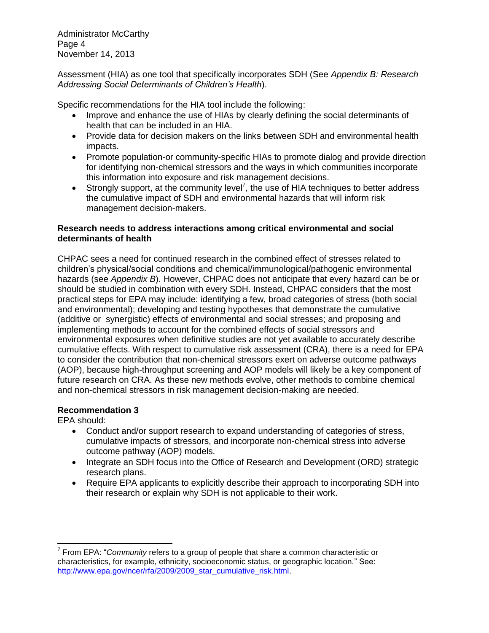Administrator McCarthy Page 4 November 14, 2013

Assessment (HIA) as one tool that specifically incorporates SDH (See *Appendix B: Research Addressing Social Determinants of Children's Health*).

Specific recommendations for the HIA tool include the following:

- Improve and enhance the use of HIAs by clearly defining the social determinants of health that can be included in an HIA.
- Provide data for decision makers on the links between SDH and environmental health impacts.
- Promote population-or community-specific HIAs to promote dialog and provide direction for identifying non-chemical stressors and the ways in which communities incorporate this information into exposure and risk management decisions.
- **Strongly support, at the community level<sup>7</sup>, the use of HIA techniques to better address** the cumulative impact of SDH and environmental hazards that will inform risk management decision-makers.

#### **Research needs to address interactions among critical environmental and social determinants of health**

CHPAC sees a need for continued research in the combined effect of stresses related to children's physical/social conditions and chemical/immunological/pathogenic environmental hazards (see *Appendix B*). However, CHPAC does not anticipate that every hazard can be or should be studied in combination with every SDH. Instead, CHPAC considers that the most practical steps for EPA may include: identifying a few, broad categories of stress (both social and environmental); developing and testing hypotheses that demonstrate the cumulative (additive or synergistic) effects of environmental and social stresses; and proposing and implementing methods to account for the combined effects of social stressors and environmental exposures when definitive studies are not yet available to accurately describe cumulative effects. With respect to cumulative risk assessment (CRA), there is a need for EPA to consider the contribution that non-chemical stressors exert on adverse outcome pathways (AOP), because high-throughput screening and AOP models will likely be a key component of future research on CRA. As these new methods evolve, other methods to combine chemical and non-chemical stressors in risk management decision-making are needed.

### **Recommendation 3**

EPA should:

- Conduct and/or support research to expand understanding of categories of stress, cumulative impacts of stressors, and incorporate non-chemical stress into adverse outcome pathway (AOP) models.
- Integrate an SDH focus into the Office of Research and Development (ORD) strategic research plans.
- Require EPA applicants to explicitly describe their approach to incorporating SDH into their research or explain why SDH is not applicable to their work.

 $\overline{\phantom{a}}$ 7 From EPA: "*Community* refers to a group of people that share a common characteristic or characteristics, for example, ethnicity, socioeconomic status, or geographic location." See: http://www.epa.gov/ncer/rfa/2009/2009\_star\_cumulative\_risk.html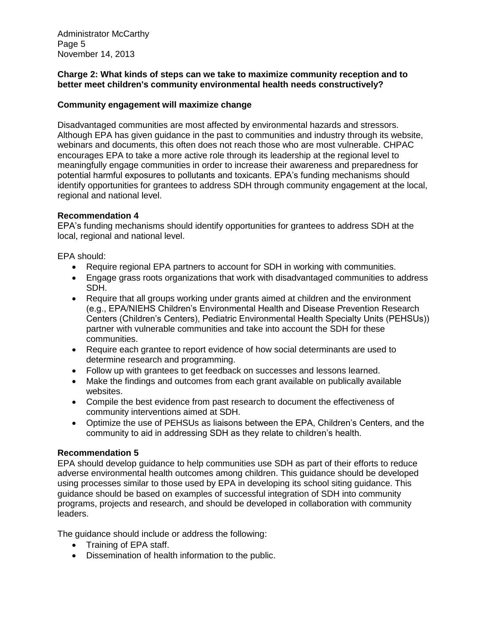Administrator McCarthy Page 5 November 14, 2013

#### **Charge 2: What kinds of steps can we take to maximize community reception and to better meet children's community environmental health needs constructively?**

#### **Community engagement will maximize change**

Disadvantaged communities are most affected by environmental hazards and stressors. Although EPA has given guidance in the past to communities and industry through its website, webinars and documents, this often does not reach those who are most vulnerable. CHPAC encourages EPA to take a more active role through its leadership at the regional level to meaningfully engage communities in order to increase their awareness and preparedness for potential harmful exposures to pollutants and toxicants. EPA's funding mechanisms should identify opportunities for grantees to address SDH through community engagement at the local, regional and national level.

#### **Recommendation 4**

EPA's funding mechanisms should identify opportunities for grantees to address SDH at the local, regional and national level.

EPA should:

- Require regional EPA partners to account for SDH in working with communities.
- Engage grass roots organizations that work with disadvantaged communities to address SDH.
- Require that all groups working under grants aimed at children and the environment (e.g., EPA/NIEHS Children's Environmental Health and Disease Prevention Research Centers (Children's Centers), Pediatric Environmental Health Specialty Units (PEHSUs)) partner with vulnerable communities and take into account the SDH for these communities.
- Require each grantee to report evidence of how social determinants are used to determine research and programming.
- Follow up with grantees to get feedback on successes and lessons learned.
- Make the findings and outcomes from each grant available on publically available websites.
- Compile the best evidence from past research to document the effectiveness of community interventions aimed at SDH.
- Optimize the use of PEHSUs as liaisons between the EPA, Children's Centers, and the community to aid in addressing SDH as they relate to children's health.

#### **Recommendation 5**

EPA should develop guidance to help communities use SDH as part of their efforts to reduce adverse environmental health outcomes among children. This guidance should be developed using processes similar to those used by EPA in developing its school siting guidance. This guidance should be based on examples of successful integration of SDH into community programs, projects and research, and should be developed in collaboration with community leaders.

The guidance should include or address the following:

- Training of EPA staff.
- Dissemination of health information to the public.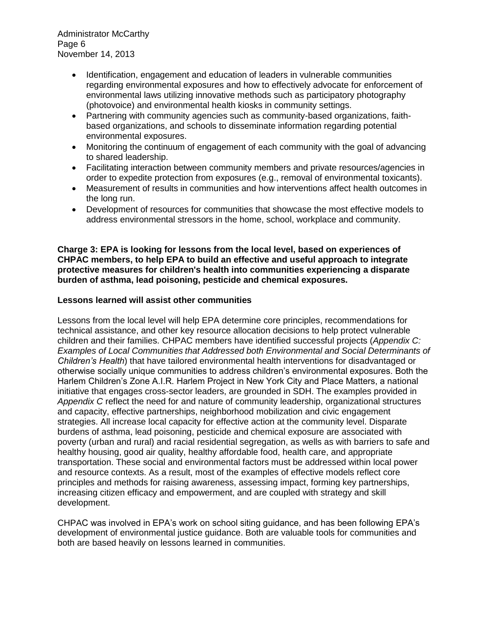Administrator McCarthy Page 6 November 14, 2013

- Identification, engagement and education of leaders in vulnerable communities regarding environmental exposures and how to effectively advocate for enforcement of environmental laws utilizing innovative methods such as participatory photography (photovoice) and environmental health kiosks in community settings.
- Partnering with community agencies such as community-based organizations, faithbased organizations, and schools to disseminate information regarding potential environmental exposures.
- Monitoring the continuum of engagement of each community with the goal of advancing to shared leadership.
- Facilitating interaction between community members and private resources/agencies in order to expedite protection from exposures (e.g., removal of environmental toxicants).
- Measurement of results in communities and how interventions affect health outcomes in the long run.
- Development of resources for communities that showcase the most effective models to address environmental stressors in the home, school, workplace and community.

#### **Charge 3: EPA is looking for lessons from the local level, based on experiences of CHPAC members, to help EPA to build an effective and useful approach to integrate protective measures for children's health into communities experiencing a disparate burden of asthma, lead poisoning, pesticide and chemical exposures.**

#### **Lessons learned will assist other communities**

Lessons from the local level will help EPA determine core principles, recommendations for technical assistance, and other key resource allocation decisions to help protect vulnerable children and their families. CHPAC members have identified successful projects (*Appendix C: Examples of Local Communities that Addressed both Environmental and Social Determinants of Children's Health*) that have tailored environmental health interventions for disadvantaged or otherwise socially unique communities to address children's environmental exposures. Both the Harlem Children's Zone A.I.R. Harlem Project in New York City and Place Matters, a national initiative that engages cross-sector leaders, are grounded in SDH. The examples provided in *Appendix C* reflect the need for and nature of community leadership, organizational structures and capacity, effective partnerships, neighborhood mobilization and civic engagement strategies. All increase local capacity for effective action at the community level. Disparate burdens of asthma, lead poisoning, pesticide and chemical exposure are associated with poverty (urban and rural) and racial residential segregation, as wells as with barriers to safe and healthy housing, good air quality, healthy affordable food, health care, and appropriate transportation. These social and environmental factors must be addressed within local power and resource contexts. As a result, most of the examples of effective models reflect core principles and methods for raising awareness, assessing impact, forming key partnerships, increasing citizen efficacy and empowerment, and are coupled with strategy and skill development.

CHPAC was involved in EPA's work on school siting guidance, and has been following EPA's development of environmental justice guidance. Both are valuable tools for communities and both are based heavily on lessons learned in communities.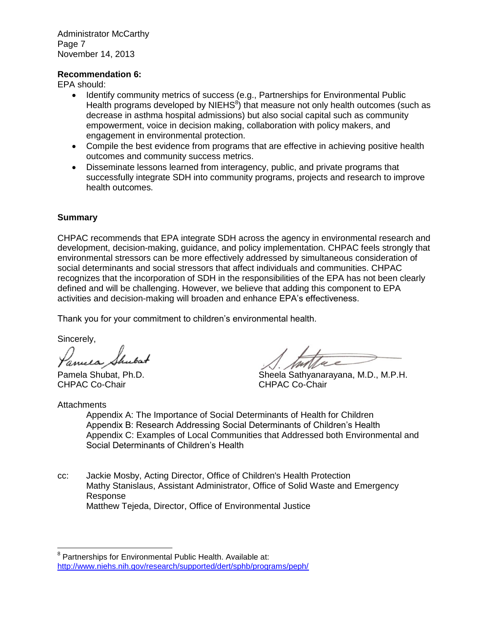Administrator McCarthy Page 7 November 14, 2013

#### **Recommendation 6:**

EPA should:

- Identify community metrics of success (e.g., Partnerships for Environmental Public Health programs developed by NIEHS<sup>8</sup>) that measure not only health outcomes (such as decrease in asthma hospital admissions) but also social capital such as community empowerment, voice in decision making, collaboration with policy makers, and engagement in environmental protection.
- Compile the best evidence from programs that are effective in achieving positive health outcomes and community success metrics.
- Disseminate lessons learned from interagency, public, and private programs that successfully integrate SDH into community programs, projects and research to improve health outcomes.

#### **Summary**

CHPAC recommends that EPA integrate SDH across the agency in environmental research and development, decision-making, guidance, and policy implementation. CHPAC feels strongly that environmental stressors can be more effectively addressed by simultaneous consideration of social determinants and social stressors that affect individuals and communities. CHPAC recognizes that the incorporation of SDH in the responsibilities of the EPA has not been clearly defined and will be challenging. However, we believe that adding this component to EPA activities and decision-making will broaden and enhance EPA's effectiveness.

Thank you for your commitment to children's environmental health.

Sincerely,

amela.

CHPAC Co-Chair CHPAC Co-Chair

**Attachments** 

 $\overline{\phantom{a}}$ 

Pamela Shubat, Ph.D. Sheela Sathyanarayana, M.D., M.P.H.

Appendix A: The Importance of Social Determinants of Health for Children Appendix B: Research Addressing Social Determinants of Children's Health Appendix C: Examples of Local Communities that Addressed both Environmental and Social Determinants of Children's Health

cc: Jackie Mosby, Acting Director, Office of Children's Health Protection Mathy Stanislaus, Assistant Administrator, Office of Solid Waste and Emergency Response Matthew Tejeda, Director, Office of Environmental Justice

<sup>&</sup>lt;sup>8</sup> Partnerships for Environmental Public Health. Available at: <http://www.niehs.nih.gov/research/supported/dert/sphb/programs/peph/>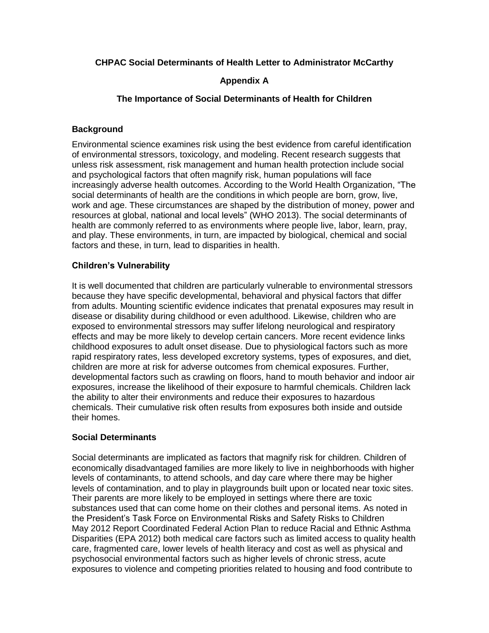#### **CHPAC Social Determinants of Health Letter to Administrator McCarthy**

### **Appendix A**

#### **The Importance of Social Determinants of Health for Children**

### **Background**

Environmental science examines risk using the best evidence from careful identification of environmental stressors, toxicology, and modeling. Recent research suggests that unless risk assessment, risk management and human health protection include social and psychological factors that often magnify risk, human populations will face increasingly adverse health outcomes. According to the World Health Organization, "The social determinants of health are the conditions in which people are born, grow, live, work and age. These circumstances are shaped by the distribution of money, power and resources at global, national and local levels" (WHO 2013). The social determinants of health are commonly referred to as environments where people live, labor, learn, pray, and play. These environments, in turn, are impacted by biological, chemical and social factors and these, in turn, lead to disparities in health.

### **Children's Vulnerability**

It is well documented that children are particularly vulnerable to environmental stressors because they have specific developmental, behavioral and physical factors that differ from adults. Mounting scientific evidence indicates that prenatal exposures may result in disease or disability during childhood or even adulthood. Likewise, children who are exposed to environmental stressors may suffer lifelong neurological and respiratory effects and may be more likely to develop certain cancers. More recent evidence links childhood exposures to adult onset disease. Due to physiological factors such as more rapid respiratory rates, less developed excretory systems, types of exposures, and diet, children are more at risk for adverse outcomes from chemical exposures. Further, developmental factors such as crawling on floors, hand to mouth behavior and indoor air exposures, increase the likelihood of their exposure to harmful chemicals. Children lack the ability to alter their environments and reduce their exposures to hazardous chemicals. Their cumulative risk often results from exposures both inside and outside their homes.

#### **Social Determinants**

Social determinants are implicated as factors that magnify risk for children. Children of economically disadvantaged families are more likely to live in neighborhoods with higher levels of contaminants, to attend schools, and day care where there may be higher levels of contamination, and to play in playgrounds built upon or located near toxic sites. Their parents are more likely to be employed in settings where there are toxic substances used that can come home on their clothes and personal items. As noted in the President's Task Force on Environmental Risks and Safety Risks to Children May 2012 Report Coordinated Federal Action Plan to reduce Racial and Ethnic Asthma Disparities (EPA 2012) both medical care factors such as limited access to quality health care, fragmented care, lower levels of health literacy and cost as well as physical and psychosocial environmental factors such as higher levels of chronic stress, acute exposures to violence and competing priorities related to housing and food contribute to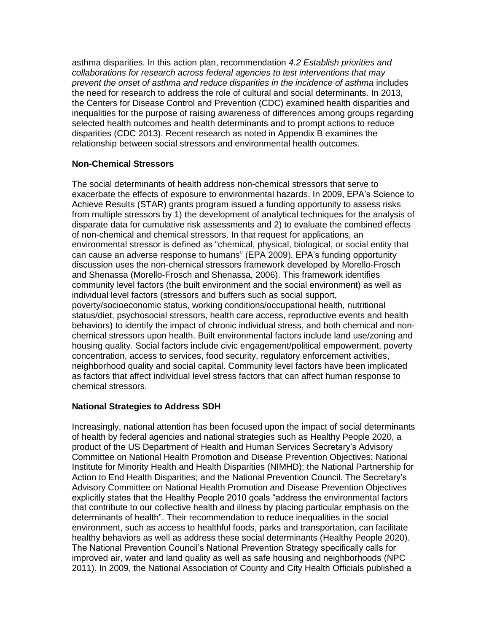asthma disparities. In this action plan, recommendation *4.2 Establish priorities and collaborations for research across federal agencies to test interventions that may prevent the onset of asthma and reduce disparities in the incidence of asthma* includes the need for research to address the role of cultural and social determinants. In 2013, the Centers for Disease Control and Prevention (CDC) examined health disparities and inequalities for the purpose of raising awareness of differences among groups regarding selected health outcomes and health determinants and to prompt actions to reduce disparities (CDC 2013). Recent research as noted in Appendix B examines the relationship between social stressors and environmental health outcomes.

#### **Non-Chemical Stressors**

The social determinants of health address non-chemical stressors that serve to exacerbate the effects of exposure to environmental hazards. In 2009, EPA's Science to Achieve Results (STAR) grants program issued a funding opportunity to assess risks from multiple stressors by 1) the development of analytical techniques for the analysis of disparate data for cumulative risk assessments and 2) to evaluate the combined effects of non-chemical and chemical stressors. In that request for applications, an environmental stressor is defined as "chemical, physical, biological, or social entity that can cause an adverse response to humans" (EPA 2009). EPA's funding opportunity discussion uses the non-chemical stressors framework developed by Morello-Frosch and Shenassa (Morello-Frosch and Shenassa, 2006). This framework identifies community level factors (the built environment and the social environment) as well as individual level factors (stressors and buffers such as social support, poverty/socioeconomic status, working conditions/occupational health, nutritional status/diet, psychosocial stressors, health care access, reproductive events and health behaviors) to identify the impact of chronic individual stress, and both chemical and nonchemical stressors upon health. Built environmental factors include land use/zoning and housing quality. Social factors include civic engagement/political empowerment, poverty concentration, access to services, food security, regulatory enforcement activities, neighborhood quality and social capital. Community level factors have been implicated as factors that affect individual level stress factors that can affect human response to chemical stressors.

#### **National Strategies to Address SDH**

Increasingly, national attention has been focused upon the impact of social determinants of health by federal agencies and national strategies such as Healthy People 2020, a product of the US Department of Health and Human Services Secretary's Advisory Committee on National Health Promotion and Disease Prevention Objectives; National Institute for Minority Health and Health Disparities (NIMHD); the National Partnership for Action to End Health Disparities; and the National Prevention Council. The Secretary's Advisory Committee on National Health Promotion and Disease Prevention Objectives explicitly states that the Healthy People 2010 goals "address the environmental factors that contribute to our collective health and illness by placing particular emphasis on the determinants of health". Their recommendation to reduce inequalities in the social environment, such as access to healthful foods, parks and transportation, can facilitate healthy behaviors as well as address these social determinants (Healthy People 2020). The National Prevention Council's National Prevention Strategy specifically calls for improved air, water and land quality as well as safe housing and neighborhoods (NPC 2011). In 2009, the National Association of County and City Health Officials published a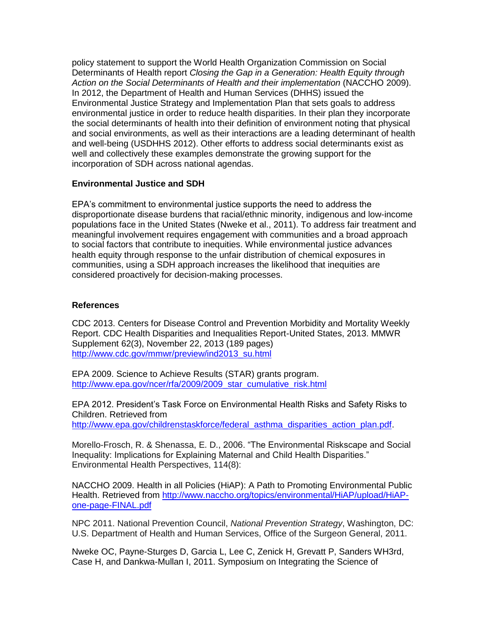policy statement to support the World Health Organization Commission on Social Determinants of Health report *Closing the Gap in a Generation: Health Equity through Action on the Social Determinants of Health and their implementation* (NACCHO 2009). In 2012, the Department of Health and Human Services (DHHS) issued the Environmental Justice Strategy and Implementation Plan that sets goals to address environmental justice in order to reduce health disparities. In their plan they incorporate the social determinants of health into their definition of environment noting that physical and social environments, as well as their interactions are a leading determinant of health and well-being (USDHHS 2012). Other efforts to address social determinants exist as well and collectively these examples demonstrate the growing support for the incorporation of SDH across national agendas.

### **Environmental Justice and SDH**

EPA's commitment to environmental justice supports the need to address the disproportionate disease burdens that racial/ethnic minority, indigenous and low-income populations face in the United States (Nweke et al., 2011). To address fair treatment and meaningful involvement requires engagement with communities and a broad approach to social factors that contribute to inequities. While environmental justice advances health equity through response to the unfair distribution of chemical exposures in communities, using a SDH approach increases the likelihood that inequities are considered proactively for decision-making processes.

### **References**

CDC 2013. Centers for Disease Control and Prevention Morbidity and Mortality Weekly Report. CDC Health Disparities and Inequalities Report-United States, 2013. MMWR Supplement 62(3), November 22, 2013 (189 pages) [http://www.cdc.gov/mmwr/preview/ind2013\\_su.html](http://www.cdc.gov/mmwr/preview/ind2013_su.html)

EPA 2009. Science to Achieve Results (STAR) grants program. [http://www.epa.gov/ncer/rfa/2009/2009\\_star\\_cumulative\\_risk.html](http://www.epa.gov/ncer/rfa/2009/2009_star_cumulative_risk.html)

EPA 2012. President's Task Force on Environmental Health Risks and Safety Risks to Children. Retrieved from http://www.epa.gov/childrenstaskforce/federal\_asthma\_disparities\_action\_plan.pdf

Morello-Frosch, R. & Shenassa, E. D., 2006. "The Environmental Riskscape and Social Inequality: Implications for Explaining Maternal and Child Health Disparities." Environmental Health Perspectives, 114(8):

NACCHO 2009. Health in all Policies (HiAP): A Path to Promoting Environmental Public Health. Retrieved from [http://www.naccho.org/topics/environmental/HiAP/upload/HiAP](http://www.naccho.org/topics/environmental/HiAP/upload/HiAP-one-page-FINAL.pdf)[one-page-FINAL.pdf](http://www.naccho.org/topics/environmental/HiAP/upload/HiAP-one-page-FINAL.pdf)

NPC 2011. National Prevention Council, *National Prevention Strategy*, Washington, DC: U.S. Department of Health and Human Services, Office of the Surgeon General, 2011.

Nweke OC, Payne-Sturges D, Garcia L, Lee C, Zenick H, Grevatt P, Sanders WH3rd, Case H, and Dankwa-Mullan I, 2011. Symposium on Integrating the Science of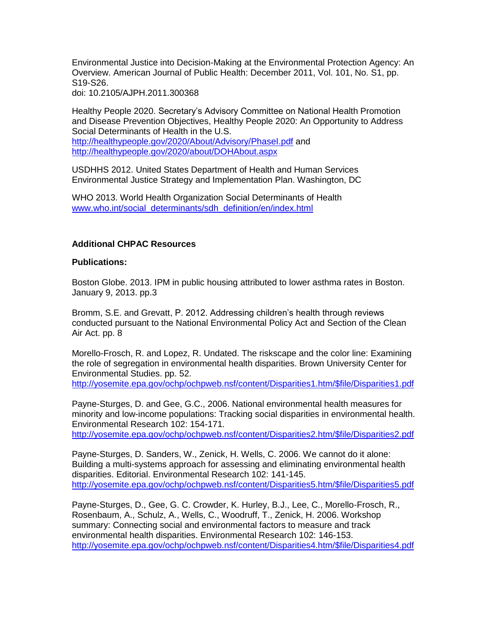Environmental Justice into Decision-Making at the Environmental Protection Agency: An Overview. American Journal of Public Health: December 2011, Vol. 101, No. S1, pp. S19-S26.

doi: 10.2105/AJPH.2011.300368

Healthy People 2020. Secretary's Advisory Committee on National Health Promotion and Disease Prevention Objectives, Healthy People 2020: An Opportunity to Address Social Determinants of Health in the U.S. <http://healthypeople.gov/2020/About/Advisory/PhaseI.pdf> and <http://healthypeople.gov/2020/about/DOHAbout.aspx>

USDHHS 2012. United States Department of Health and Human Services Environmental Justice Strategy and Implementation Plan. Washington, DC

WHO 2013. World Health Organization Social Determinants of Health [www.who.int/social\\_determinants/sdh\\_definition/en/index.html](http://www.who.int/social_determinants/sdh_definition/en/index.html)

#### **Additional CHPAC Resources**

#### **Publications:**

Boston Globe. 2013. IPM in public housing attributed to lower asthma rates in Boston. January 9, 2013. pp.3

Bromm, S.E. and Grevatt, P. 2012. Addressing children's health through reviews conducted pursuant to the National Environmental Policy Act and Section of the Clean Air Act. pp. 8

Morello-Frosch, R. and Lopez, R. Undated. The riskscape and the color line: Examining the role of segregation in environmental health disparities. Brown University Center for Environmental Studies. pp. 52.

[http://yosemite.epa.gov/ochp/ochpweb.nsf/content/Disparities1.htm/\\$file/Disparities1.pdf](http://yosemite.epa.gov/ochp/ochpweb.nsf/content/Disparities1.htm/$file/Disparities1.pdf)

Payne-Sturges, D. and Gee, G.C., 2006. National environmental health measures for minority and low-income populations: Tracking social disparities in environmental health. Environmental Research 102: 154-171.

[http://yosemite.epa.gov/ochp/ochpweb.nsf/content/Disparities2.htm/\\$file/Disparities2.pdf](http://yosemite.epa.gov/ochp/ochpweb.nsf/content/Disparities2.htm/$file/Disparities2.pdf)

Payne-Sturges, D. Sanders, W., Zenick, H. Wells, C. 2006. We cannot do it alone: Building a multi-systems approach for assessing and eliminating environmental health disparities. Editorial. Environmental Research 102: 141-145. [http://yosemite.epa.gov/ochp/ochpweb.nsf/content/Disparities5.htm/\\$file/Disparities5.pdf](http://yosemite.epa.gov/ochp/ochpweb.nsf/content/Disparities5.htm/$file/Disparities5.pdf)

Payne-Sturges, D., Gee, G. C. Crowder, K. Hurley, B.J., Lee, C., Morello-Frosch, R., Rosenbaum, A., Schulz, A., Wells, C., Woodruff, T., Zenick, H. 2006. Workshop summary: Connecting social and environmental factors to measure and track environmental health disparities. Environmental Research 102: 146-153. [http://yosemite.epa.gov/ochp/ochpweb.nsf/content/Disparities4.htm/\\$file/Disparities4.pdf](http://yosemite.epa.gov/ochp/ochpweb.nsf/content/Disparities4.htm/$file/Disparities4.pdf)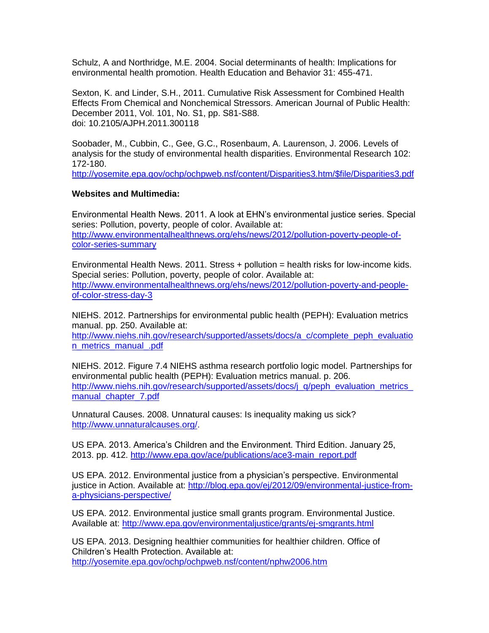Schulz, A and Northridge, M.E. 2004. Social determinants of health: Implications for environmental health promotion. Health Education and Behavior 31: 455-471.

Sexton, K. and Linder, S.H., 2011. Cumulative Risk Assessment for Combined Health Effects From Chemical and Nonchemical Stressors. American Journal of Public Health: December 2011, Vol. 101, No. S1, pp. S81-S88. doi: 10.2105/AJPH.2011.300118

Soobader, M., Cubbin, C., Gee, G.C., Rosenbaum, A. Laurenson, J. 2006. Levels of analysis for the study of environmental health disparities. Environmental Research 102: 172-180.

[http://yosemite.epa.gov/ochp/ochpweb.nsf/content/Disparities3.htm/\\$file/Disparities3.pdf](http://yosemite.epa.gov/ochp/ochpweb.nsf/content/Disparities3.htm/$file/Disparities3.pdf)

#### **Websites and Multimedia:**

Environmental Health News. 2011. A look at EHN's environmental justice series. Special series: Pollution, poverty, people of color. Available at: [http://www.environmentalhealthnews.org/ehs/news/2012/pollution-poverty-people-of](http://www.environmentalhealthnews.org/ehs/news/2012/pollution-poverty-people-of-color-series-summary)[color-series-summary](http://www.environmentalhealthnews.org/ehs/news/2012/pollution-poverty-people-of-color-series-summary)

Environmental Health News. 2011. Stress  $+$  pollution  $=$  health risks for low-income kids. Special series: Pollution, poverty, people of color. Available at: [http://www.environmentalhealthnews.org/ehs/news/2012/pollution-poverty-and-people](http://www.environmentalhealthnews.org/ehs/news/2012/pollution-poverty-and-people-of-color-stress-day-3)[of-color-stress-day-3](http://www.environmentalhealthnews.org/ehs/news/2012/pollution-poverty-and-people-of-color-stress-day-3)

NIEHS. 2012. Partnerships for environmental public health (PEPH): Evaluation metrics manual. pp. 250. Available at:

[http://www.niehs.nih.gov/research/supported/assets/docs/a\\_c/complete\\_peph\\_evaluatio](http://www.niehs.nih.gov/research/supported/assets/docs/a_c/complete_peph_evaluation_metrics_manual_.pdf) [n\\_metrics\\_manual\\_.pdf](http://www.niehs.nih.gov/research/supported/assets/docs/a_c/complete_peph_evaluation_metrics_manual_.pdf)

NIEHS. 2012. Figure 7.4 NIEHS asthma research portfolio logic model. Partnerships for environmental public health (PEPH): Evaluation metrics manual. p. 206. [http://www.niehs.nih.gov/research/supported/assets/docs/j\\_q/peph\\_evaluation\\_metrics\\_](http://www.niehs.nih.gov/research/supported/assets/docs/j_q/peph_evaluation_metrics_manual_chapter_7.pdf) manual chapter 7.pdf

Unnatural Causes. 2008. Unnatural causes: Is inequality making us sick? [http://www.unnaturalcauses.org/.](http://www.unnaturalcauses.org/)

US EPA. 2013. America's Children and the Environment. Third Edition. January 25, 2013. pp. 412. [http://www.epa.gov/ace/publications/ace3-main\\_report.pdf](http://www.epa.gov/ace/publications/ace3-main_report.pdf)

US EPA. 2012. Environmental justice from a physician's perspective. Environmental justice in Action. Available at: [http://blog.epa.gov/ej/2012/09/environmental-justice-from](http://blog.epa.gov/ej/2012/09/environmental-justice-from-a-physicians-perspective/)[a-physicians-perspective/](http://blog.epa.gov/ej/2012/09/environmental-justice-from-a-physicians-perspective/)

US EPA. 2012. Environmental justice small grants program. Environmental Justice. Available at:<http://www.epa.gov/environmentaljustice/grants/ej-smgrants.html>

US EPA. 2013. Designing healthier communities for healthier children. Office of Children's Health Protection. Available at: <http://yosemite.epa.gov/ochp/ochpweb.nsf/content/nphw2006.htm>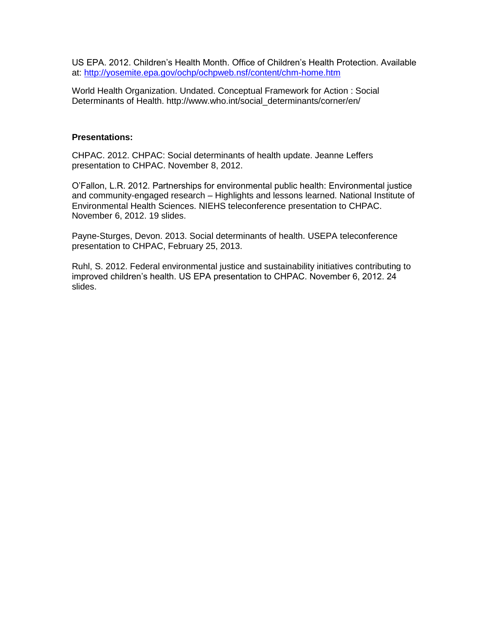US EPA. 2012. Children's Health Month. Office of Children's Health Protection. Available at:<http://yosemite.epa.gov/ochp/ochpweb.nsf/content/chm-home.htm>

World Health Organization. Undated. Conceptual Framework for Action : Social Determinants of Health. http://www.who.int/social\_determinants/corner/en/

#### **Presentations:**

CHPAC. 2012. CHPAC: Social determinants of health update. Jeanne Leffers presentation to CHPAC. November 8, 2012.

O'Fallon, L.R. 2012. Partnerships for environmental public health: Environmental justice and community-engaged research – Highlights and lessons learned. National Institute of Environmental Health Sciences. NIEHS teleconference presentation to CHPAC. November 6, 2012. 19 slides.

Payne-Sturges, Devon. 2013. Social determinants of health. USEPA teleconference presentation to CHPAC, February 25, 2013.

Ruhl, S. 2012. Federal environmental justice and sustainability initiatives contributing to improved children's health. US EPA presentation to CHPAC. November 6, 2012. 24 slides.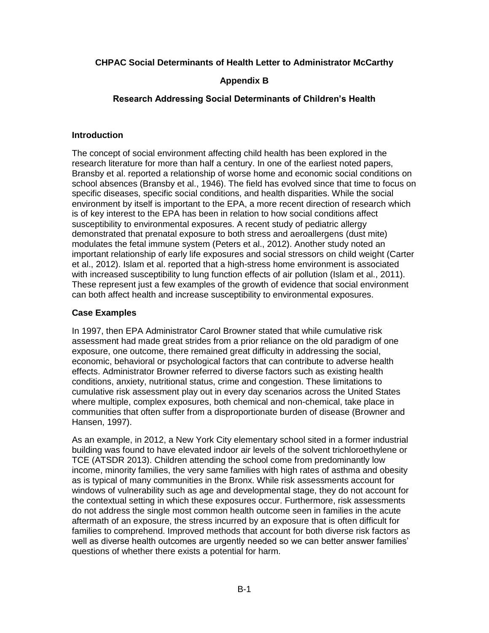#### **CHPAC Social Determinants of Health Letter to Administrator McCarthy**

#### **Appendix B**

#### **Research Addressing Social Determinants of Children's Health**

#### **Introduction**

The concept of social environment affecting child health has been explored in the research literature for more than half a century. In one of the earliest noted papers, Bransby et al. reported a relationship of worse home and economic social conditions on school absences (Bransby et al., 1946). The field has evolved since that time to focus on specific diseases, specific social conditions, and health disparities. While the social environment by itself is important to the EPA, a more recent direction of research which is of key interest to the EPA has been in relation to how social conditions affect susceptibility to environmental exposures. A recent study of pediatric allergy demonstrated that prenatal exposure to both stress and aeroallergens (dust mite) modulates the fetal immune system (Peters et al., 2012). Another study noted an important relationship of early life exposures and social stressors on child weight (Carter et al., 2012). Islam et al. reported that a high-stress home environment is associated with increased susceptibility to lung function effects of air pollution (Islam et al., 2011). These represent just a few examples of the growth of evidence that social environment can both affect health and increase susceptibility to environmental exposures.

#### **Case Examples**

In 1997, then EPA Administrator Carol Browner stated that while cumulative risk assessment had made great strides from a prior reliance on the old paradigm of one exposure, one outcome, there remained great difficulty in addressing the social, economic, behavioral or psychological factors that can contribute to adverse health effects. Administrator Browner referred to diverse factors such as existing health conditions, anxiety, nutritional status, crime and congestion. These limitations to cumulative risk assessment play out in every day scenarios across the United States where multiple, complex exposures, both chemical and non-chemical, take place in communities that often suffer from a disproportionate burden of disease (Browner and Hansen, 1997).

As an example, in 2012, a New York City elementary school sited in a former industrial building was found to have elevated indoor air levels of the solvent trichloroethylene or TCE (ATSDR 2013). Children attending the school come from predominantly low income, minority families, the very same families with high rates of asthma and obesity as is typical of many communities in the Bronx. While risk assessments account for windows of vulnerability such as age and developmental stage, they do not account for the contextual setting in which these exposures occur. Furthermore, risk assessments do not address the single most common health outcome seen in families in the acute aftermath of an exposure, the stress incurred by an exposure that is often difficult for families to comprehend. Improved methods that account for both diverse risk factors as well as diverse health outcomes are urgently needed so we can better answer families' questions of whether there exists a potential for harm.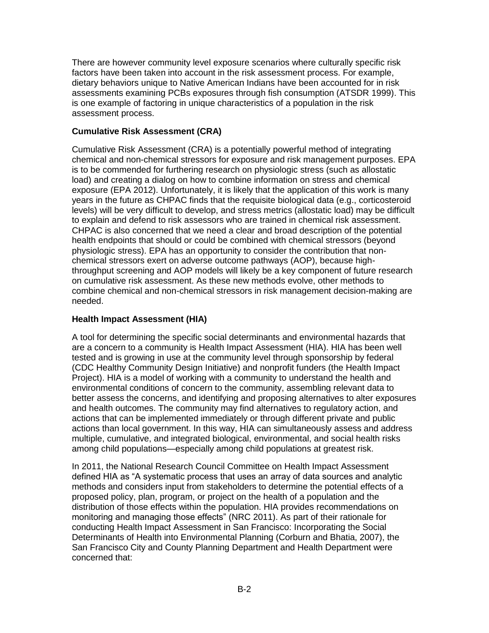There are however community level exposure scenarios where culturally specific risk factors have been taken into account in the risk assessment process. For example, dietary behaviors unique to Native American Indians have been accounted for in risk assessments examining PCBs exposures through fish consumption (ATSDR 1999). This is one example of factoring in unique characteristics of a population in the risk assessment process.

### **Cumulative Risk Assessment (CRA)**

Cumulative Risk Assessment (CRA) is a potentially powerful method of integrating chemical and non-chemical stressors for exposure and risk management purposes. EPA is to be commended for furthering research on physiologic stress (such as allostatic load) and creating a dialog on how to combine information on stress and chemical exposure (EPA 2012). Unfortunately, it is likely that the application of this work is many years in the future as CHPAC finds that the requisite biological data (e.g., corticosteroid levels) will be very difficult to develop, and stress metrics (allostatic load) may be difficult to explain and defend to risk assessors who are trained in chemical risk assessment. CHPAC is also concerned that we need a clear and broad description of the potential health endpoints that should or could be combined with chemical stressors (beyond physiologic stress). EPA has an opportunity to consider the contribution that nonchemical stressors exert on adverse outcome pathways (AOP), because highthroughput screening and AOP models will likely be a key component of future research on cumulative risk assessment. As these new methods evolve, other methods to combine chemical and non-chemical stressors in risk management decision-making are needed.

### **Health Impact Assessment (HIA)**

A tool for determining the specific social determinants and environmental hazards that are a concern to a community is Health Impact Assessment (HIA). HIA has been well tested and is growing in use at the community level through sponsorship by federal (CDC Healthy Community Design Initiative) and nonprofit funders (the Health Impact Project). HIA is a model of working with a community to understand the health and environmental conditions of concern to the community, assembling relevant data to better assess the concerns, and identifying and proposing alternatives to alter exposures and health outcomes. The community may find alternatives to regulatory action, and actions that can be implemented immediately or through different private and public actions than local government. In this way, HIA can simultaneously assess and address multiple, cumulative, and integrated biological, environmental, and social health risks among child populations—especially among child populations at greatest risk.

In 2011, the National Research Council Committee on Health Impact Assessment defined HIA as "A systematic process that uses an array of data sources and analytic methods and considers input from stakeholders to determine the potential effects of a proposed policy, plan, program, or project on the health of a population and the distribution of those effects within the population. HIA provides recommendations on monitoring and managing those effects" (NRC 2011). As part of their rationale for conducting Health Impact Assessment in San Francisco: Incorporating the Social Determinants of Health into Environmental Planning (Corburn and Bhatia, 2007), the San Francisco City and County Planning Department and Health Department were concerned that: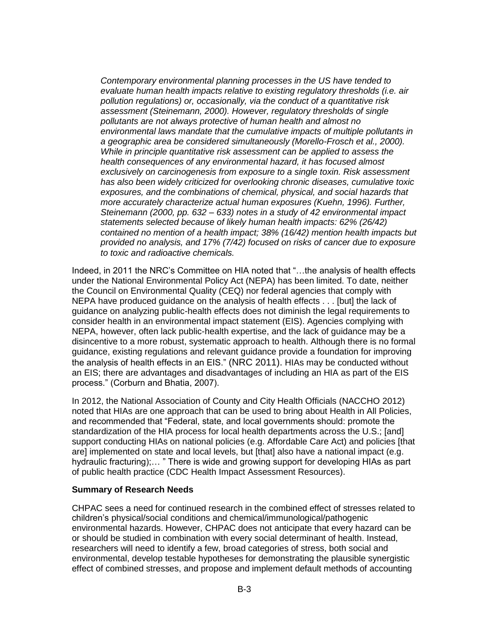*Contemporary environmental planning processes in the US have tended to evaluate human health impacts relative to existing regulatory thresholds (i.e. air pollution regulations) or, occasionally, via the conduct of a quantitative risk assessment (Steinemann, 2000). However, regulatory thresholds of single pollutants are not always protective of human health and almost no environmental laws mandate that the cumulative impacts of multiple pollutants in a geographic area be considered simultaneously (Morello-Frosch et al., 2000). While in principle quantitative risk assessment can be applied to assess the health consequences of any environmental hazard, it has focused almost exclusively on carcinogenesis from exposure to a single toxin. Risk assessment has also been widely criticized for overlooking chronic diseases, cumulative toxic exposures, and the combinations of chemical, physical, and social hazards that more accurately characterize actual human exposures (Kuehn, 1996). Further, Steinemann (2000, pp. 632 – 633) notes in a study of 42 environmental impact statements selected because of likely human health impacts: 62% (26/42) contained no mention of a health impact; 38% (16/42) mention health impacts but provided no analysis, and 17% (7/42) focused on risks of cancer due to exposure to toxic and radioactive chemicals.*

Indeed, in 2011 the NRC's Committee on HIA noted that "…the analysis of health effects under the National Environmental Policy Act (NEPA) has been limited. To date, neither the Council on Environmental Quality (CEQ) nor federal agencies that comply with NEPA have produced guidance on the analysis of health effects . . . [but] the lack of guidance on analyzing public-health effects does not diminish the legal requirements to consider health in an environmental impact statement (EIS). Agencies complying with NEPA, however, often lack public-health expertise, and the lack of guidance may be a disincentive to a more robust, systematic approach to health. Although there is no formal guidance, existing regulations and relevant guidance provide a foundation for improving the analysis of health effects in an EIS." (NRC 2011). HIAs may be conducted without an EIS; there are advantages and disadvantages of including an HIA as part of the EIS process." (Corburn and Bhatia, 2007).

In 2012, the National Association of County and City Health Officials (NACCHO 2012) noted that HIAs are one approach that can be used to bring about Health in All Policies, and recommended that "Federal, state, and local governments should: promote the standardization of the HIA process for local health departments across the U.S.; [and] support conducting HIAs on national policies (e.g. Affordable Care Act) and policies [that are] implemented on state and local levels, but [that] also have a national impact (e.g. hydraulic fracturing);... " There is wide and growing support for developing HIAs as part of public health practice (CDC Health Impact Assessment Resources).

#### **Summary of Research Needs**

CHPAC sees a need for continued research in the combined effect of stresses related to children's physical/social conditions and chemical/immunological/pathogenic environmental hazards. However, CHPAC does not anticipate that every hazard can be or should be studied in combination with every social determinant of health. Instead, researchers will need to identify a few, broad categories of stress, both social and environmental, develop testable hypotheses for demonstrating the plausible synergistic effect of combined stresses, and propose and implement default methods of accounting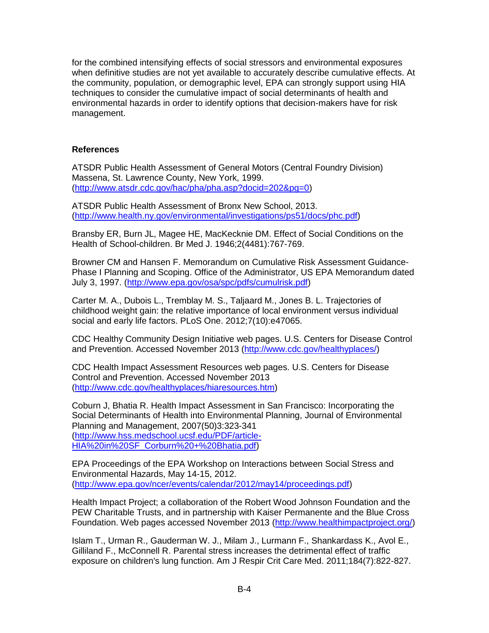for the combined intensifying effects of social stressors and environmental exposures when definitive studies are not yet available to accurately describe cumulative effects. At the community, population, or demographic level, EPA can strongly support using HIA techniques to consider the cumulative impact of social determinants of health and environmental hazards in order to identify options that decision-makers have for risk management.

#### **References**

ATSDR Public Health Assessment of General Motors (Central Foundry Division) Massena, St. Lawrence County, New York, 1999. [\(http://www.atsdr.cdc.gov/hac/pha/pha.asp?docid=202&pg=0\)](http://www.atsdr.cdc.gov/hac/pha/pha.asp?docid=202&pg=0)

ATSDR Public Health Assessment of Bronx New School, 2013. [\(http://www.health.ny.gov/environmental/investigations/ps51/docs/phc.pdf\)](http://www.health.ny.gov/environmental/investigations/ps51/docs/phc.pdf)

Bransby ER, Burn JL, Magee HE, MacKecknie DM. Effect of Social Conditions on the Health of School-children. Br Med J. 1946;2(4481):767-769.

Browner CM and Hansen F. Memorandum on Cumulative Risk Assessment Guidance-Phase I Planning and Scoping. Office of the Administrator, US EPA Memorandum dated July 3, 1997. [\(http://www.epa.gov/osa/spc/pdfs/cumulrisk.pdf\)](http://www.epa.gov/osa/spc/pdfs/cumulrisk.pdf)

Carter M. A., Dubois L., Tremblay M. S., Taljaard M., Jones B. L. Trajectories of childhood weight gain: the relative importance of local environment versus individual social and early life factors. PLoS One. 2012;7(10):e47065.

CDC Healthy Community Design Initiative web pages. U.S. Centers for Disease Control and Prevention. Accessed November 2013 [\(http://www.cdc.gov/healthyplaces/\)](http://www.cdc.gov/healthyplaces/)

CDC Health Impact Assessment Resources web pages. U.S. Centers for Disease Control and Prevention. Accessed November 2013 [\(http://www.cdc.gov/healthyplaces/hiaresources.htm\)](http://www.cdc.gov/healthyplaces/hiaresources.htm)

Coburn J, Bhatia R. Health Impact Assessment in San Francisco: Incorporating the Social Determinants of Health into Environmental Planning, Journal of Environmental Planning and Management, 2007(50)3:323-341 [\(http://www.hss.medschool.ucsf.edu/PDF/article-](http://www.hss.medschool.ucsf.edu/PDF/article-HIA%20in%20SF_Corburn%20+%20Bhatia.pdf)[HIA%20in%20SF\\_Corburn%20+%20Bhatia.pdf\)](http://www.hss.medschool.ucsf.edu/PDF/article-HIA%20in%20SF_Corburn%20+%20Bhatia.pdf)

EPA Proceedings of the EPA Workshop on Interactions between Social Stress and Environmental Hazards, May 14-15, 2012. [\(http://www.epa.gov/ncer/events/calendar/2012/may14/proceedings.pdf\)](http://www.epa.gov/ncer/events/calendar/2012/may14/proceedings.pdf)

Health Impact Project; a collaboration of the Robert Wood Johnson Foundation and the PEW Charitable Trusts, and in partnership with Kaiser Permanente and the Blue Cross Foundation. Web pages accessed November 2013 [\(http://www.healthimpactproject.org/\)](http://www.healthimpactproject.org/)

Islam T., Urman R., Gauderman W. J., Milam J., Lurmann F., Shankardass K., Avol E., Gilliland F., McConnell R. Parental stress increases the detrimental effect of traffic exposure on children's lung function. Am J Respir Crit Care Med. 2011;184(7):822-827.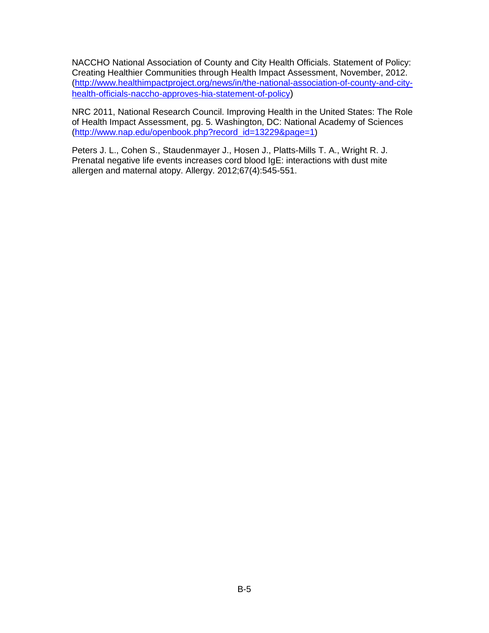NACCHO National Association of County and City Health Officials. Statement of Policy: Creating Healthier Communities through Health Impact Assessment, November, 2012. [\(http://www.healthimpactproject.org/news/in/the-national-association-of-county-and-city](http://www.healthimpactproject.org/news/in/the-national-association-of-county-and-city-health-officials-naccho-approves-hia-statement-of-policy)[health-officials-naccho-approves-hia-statement-of-policy](http://www.healthimpactproject.org/news/in/the-national-association-of-county-and-city-health-officials-naccho-approves-hia-statement-of-policy))

NRC 2011, National Research Council. Improving Health in the United States: The Role of Health Impact Assessment, pg. 5. Washington, DC: National Academy of Sciences [\(http://www.nap.edu/openbook.php?record\\_id=13229&page=1\)](http://www.nap.edu/openbook.php?record_id=13229&page=1)

Peters J. L., Cohen S., Staudenmayer J., Hosen J., Platts-Mills T. A., Wright R. J. Prenatal negative life events increases cord blood IgE: interactions with dust mite allergen and maternal atopy. Allergy. 2012;67(4):545-551.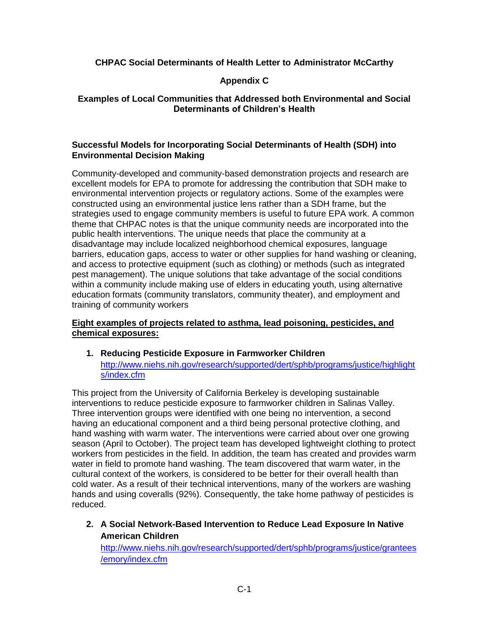### **CHPAC Social Determinants of Health Letter to Administrator McCarthy**

### **Appendix C**

#### **Examples of Local Communities that Addressed both Environmental and Social Determinants of Children's Health**

#### **Successful Models for Incorporating Social Determinants of Health (SDH) into Environmental Decision Making**

Community-developed and community-based demonstration projects and research are excellent models for EPA to promote for addressing the contribution that SDH make to environmental intervention projects or regulatory actions. Some of the examples were constructed using an environmental justice lens rather than a SDH frame, but the strategies used to engage community members is useful to future EPA work. A common theme that CHPAC notes is that the unique community needs are incorporated into the public health interventions. The unique needs that place the community at a disadvantage may include localized neighborhood chemical exposures, language barriers, education gaps, access to water or other supplies for hand washing or cleaning, and access to protective equipment (such as clothing) or methods (such as integrated pest management). The unique solutions that take advantage of the social conditions within a community include making use of elders in educating youth, using alternative education formats (community translators, community theater), and employment and training of community workers

### **Eight examples of projects related to asthma, lead poisoning, pesticides, and chemical exposures:**

**1. Reducing Pesticide Exposure in Farmworker Children** [http://www.niehs.nih.gov/research/supported/dert/sphb/programs/justice/highlight](http://www.niehs.nih.gov/research/supported/dert/sphb/programs/justice/highlights/index.cfm) [s/index.cfm](http://www.niehs.nih.gov/research/supported/dert/sphb/programs/justice/highlights/index.cfm)

This project from the University of California Berkeley is developing sustainable interventions to reduce pesticide exposure to farmworker children in Salinas Valley. Three intervention groups were identified with one being no intervention, a second having an educational component and a third being personal protective clothing, and hand washing with warm water. The interventions were carried about over one growing season (April to October). The project team has developed lightweight clothing to protect workers from pesticides in the field. In addition, the team has created and provides warm water in field to promote hand washing. The team discovered that warm water, in the cultural context of the workers, is considered to be better for their overall health than cold water. As a result of their technical interventions, many of the workers are washing hands and using coveralls (92%). Consequently, the take home pathway of pesticides is reduced.

**2. A Social Network-Based Intervention to Reduce Lead Exposure In Native American Children**

[http://www.niehs.nih.gov/research/supported/dert/sphb/programs/justice/grantees](http://www.niehs.nih.gov/research/supported/dert/sphb/programs/justice/grantees/emory/index.cfm) [/emory/index.cfm](http://www.niehs.nih.gov/research/supported/dert/sphb/programs/justice/grantees/emory/index.cfm)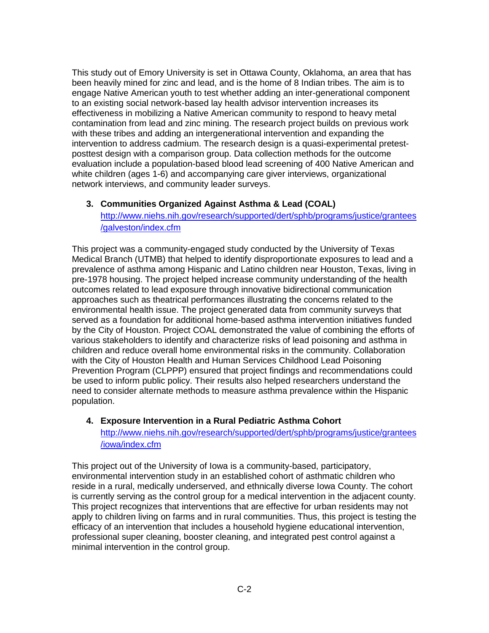This study out of Emory University is set in Ottawa County, Oklahoma, an area that has been heavily mined for zinc and lead, and is the home of 8 Indian tribes. The aim is to engage Native American youth to test whether adding an inter-generational component to an existing social network-based lay health advisor intervention increases its effectiveness in mobilizing a Native American community to respond to heavy metal contamination from lead and zinc mining. The research project builds on previous work with these tribes and adding an intergenerational intervention and expanding the intervention to address cadmium. The research design is a quasi-experimental pretestposttest design with a comparison group. Data collection methods for the outcome evaluation include a population-based blood lead screening of 400 Native American and white children (ages 1-6) and accompanying care giver interviews, organizational network interviews, and community leader surveys.

**3. Communities Organized Against Asthma & Lead (COAL)** [http://www.niehs.nih.gov/research/supported/dert/sphb/programs/justice/grantees](http://www.niehs.nih.gov/research/supported/dert/sphb/programs/justice/grantees/galveston/index.cfm) [/galveston/index.cfm](http://www.niehs.nih.gov/research/supported/dert/sphb/programs/justice/grantees/galveston/index.cfm)

This project was a community-engaged study conducted by the University of Texas Medical Branch (UTMB) that helped to identify disproportionate exposures to lead and a prevalence of asthma among Hispanic and Latino children near Houston, Texas, living in pre-1978 housing. The project helped increase community understanding of the health outcomes related to lead exposure through innovative bidirectional communication approaches such as theatrical performances illustrating the concerns related to the environmental health issue. The project generated data from community surveys that served as a foundation for additional home-based asthma intervention initiatives funded by the City of Houston. Project COAL demonstrated the value of combining the efforts of various stakeholders to identify and characterize risks of lead poisoning and asthma in children and reduce overall home environmental risks in the community. Collaboration with the City of Houston Health and Human Services Childhood Lead Poisoning Prevention Program (CLPPP) ensured that project findings and recommendations could be used to inform public policy. Their results also helped researchers understand the need to consider alternate methods to measure asthma prevalence within the Hispanic population.

#### **4. Exposure Intervention in a Rural Pediatric Asthma Cohort** [http://www.niehs.nih.gov/research/supported/dert/sphb/programs/justice/grantees](http://www.niehs.nih.gov/research/supported/dert/sphb/programs/justice/grantees/iowa/index.cfm) [/iowa/index.cfm](http://www.niehs.nih.gov/research/supported/dert/sphb/programs/justice/grantees/iowa/index.cfm)

This project out of the University of Iowa is a community-based, participatory, environmental intervention study in an established cohort of asthmatic children who reside in a rural, medically underserved, and ethnically diverse Iowa County. The cohort is currently serving as the control group for a medical intervention in the adjacent county. This project recognizes that interventions that are effective for urban residents may not apply to children living on farms and in rural communities. Thus, this project is testing the efficacy of an intervention that includes a household hygiene educational intervention, professional super cleaning, booster cleaning, and integrated pest control against a minimal intervention in the control group.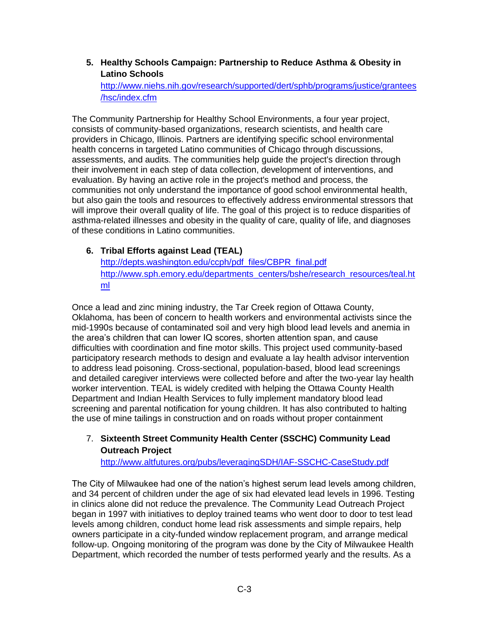**5. Healthy Schools Campaign: Partnership to Reduce Asthma & Obesity in Latino Schools**

[http://www.niehs.nih.gov/research/supported/dert/sphb/programs/justice/grantees](http://www.niehs.nih.gov/research/supported/dert/sphb/programs/justice/grantees/hsc/index.cfm) [/hsc/index.cfm](http://www.niehs.nih.gov/research/supported/dert/sphb/programs/justice/grantees/hsc/index.cfm)

The Community Partnership for Healthy School Environments, a four year project, consists of community-based organizations, research scientists, and health care providers in Chicago, Illinois. Partners are identifying specific school environmental health concerns in targeted Latino communities of Chicago through discussions, assessments, and audits. The communities help guide the project's direction through their involvement in each step of data collection, development of interventions, and evaluation. By having an active role in the project's method and process, the communities not only understand the importance of good school environmental health, but also gain the tools and resources to effectively address environmental stressors that will improve their overall quality of life. The goal of this project is to reduce disparities of asthma-related illnesses and obesity in the quality of care, quality of life, and diagnoses of these conditions in Latino communities.

### **6. Tribal Efforts against Lead (TEAL)**

[http://depts.washington.edu/ccph/pdf\\_files/CBPR\\_final.pdf](http://depts.washington.edu/ccph/pdf_files/CBPR_final.pdf) [http://www.sph.emory.edu/departments\\_centers/bshe/research\\_resources/teal.ht](http://www.sph.emory.edu/departments_centers/bshe/research_resources/teal.html) [ml](http://www.sph.emory.edu/departments_centers/bshe/research_resources/teal.html)

Once a lead and zinc mining industry, the Tar Creek region of Ottawa County, Oklahoma, has been of concern to health workers and environmental activists since the mid-1990s because of contaminated soil and very high blood lead levels and anemia in the area's children that can lower IQ scores, shorten attention span, and cause difficulties with coordination and fine motor skills. This project used community-based participatory research methods to design and evaluate a lay health advisor intervention to address lead poisoning. Cross-sectional, population-based, blood lead screenings and detailed caregiver interviews were collected before and after the two-year lay health worker intervention. TEAL is widely credited with helping the Ottawa County Health Department and Indian Health Services to fully implement mandatory blood lead screening and parental notification for young children. It has also contributed to halting the use of mine tailings in construction and on roads without proper containment

### 7. **Sixteenth Street Community Health Center (SSCHC) Community Lead Outreach Project**

http://www.altfutures.org/pubs/leveragingSDH/IAF-SSCHC-CaseStudy.pdf

The City of Milwaukee had one of the nation's highest serum lead levels among children, and 34 percent of children under the age of six had elevated lead levels in 1996. Testing in clinics alone did not reduce the prevalence. The Community Lead Outreach Project began in 1997 with initiatives to deploy trained teams who went door to door to test lead levels among children, conduct home lead risk assessments and simple repairs, help owners participate in a city-funded window replacement program, and arrange medical follow-up. Ongoing monitoring of the program was done by the City of Milwaukee Health Department, which recorded the number of tests performed yearly and the results. As a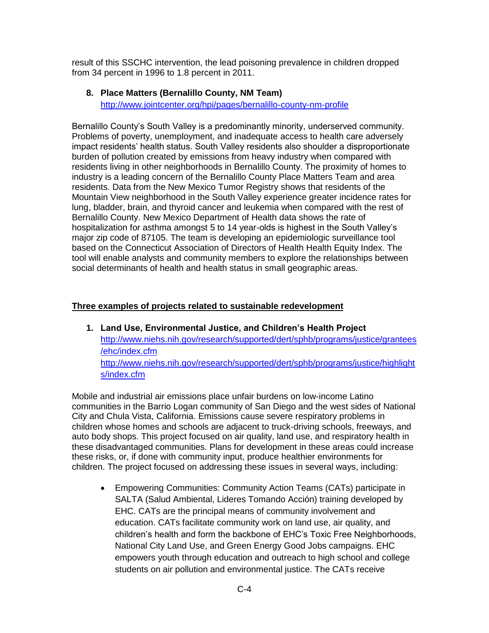result of this SSCHC intervention, the lead poisoning prevalence in children dropped from 34 percent in 1996 to 1.8 percent in 2011.

#### **8. Place Matters (Bernalillo County, NM Team)**

<http://www.jointcenter.org/hpi/pages/bernalillo-county-nm-profile>

Bernalillo County's South Valley is a predominantly minority, underserved community. Problems of poverty, unemployment, and inadequate access to health care adversely impact residents' health status. South Valley residents also shoulder a disproportionate burden of pollution created by emissions from heavy industry when compared with residents living in other neighborhoods in Bernalillo County. The proximity of homes to industry is a leading concern of the Bernalillo County Place Matters Team and area residents. Data from the New Mexico Tumor Registry shows that residents of the Mountain View neighborhood in the South Valley experience greater incidence rates for lung, bladder, brain, and thyroid cancer and leukemia when compared with the rest of Bernalillo County. New Mexico Department of Health data shows the rate of hospitalization for asthma amongst 5 to 14 year-olds is highest in the South Valley's major zip code of 87105. The team is developing an epidemiologic surveillance tool based on the Connecticut Association of Directors of Health Health Equity Index. The tool will enable analysts and community members to explore the relationships between social determinants of health and health status in small geographic areas.

### **Three examples of projects related to sustainable redevelopment**

**1. Land Use, Environmental Justice, and Children's Health Project** [http://www.niehs.nih.gov/research/supported/dert/sphb/programs/justice/grantees](http://www.niehs.nih.gov/research/supported/dert/sphb/programs/justice/grantees/ehc/index.cfm) [/ehc/index.cfm](http://www.niehs.nih.gov/research/supported/dert/sphb/programs/justice/grantees/ehc/index.cfm) [http://www.niehs.nih.gov/research/supported/dert/sphb/programs/justice/highlight](http://www.niehs.nih.gov/research/supported/dert/sphb/programs/justice/highlights/index.cfm) [s/index.cfm](http://www.niehs.nih.gov/research/supported/dert/sphb/programs/justice/highlights/index.cfm)

Mobile and industrial air emissions place unfair burdens on low-income Latino communities in the Barrio Logan community of San Diego and the west sides of National City and Chula Vista, California. Emissions cause severe respiratory problems in children whose homes and schools are adjacent to truck-driving schools, freeways, and auto body shops. This project focused on air quality, land use, and respiratory health in these disadvantaged communities. Plans for development in these areas could increase these risks, or, if done with community input, produce healthier environments for children. The project focused on addressing these issues in several ways, including:

 Empowering Communities: Community Action Teams (CATs) participate in SALTA (Salud Ambiental, Lideres Tomando Acción) training developed by EHC. CATs are the principal means of community involvement and education. CATs facilitate community work on land use, air quality, and children's health and form the backbone of EHC's Toxic Free Neighborhoods, National City Land Use, and Green Energy Good Jobs campaigns. EHC empowers youth through education and outreach to high school and college students on air pollution and environmental justice. The CATs receive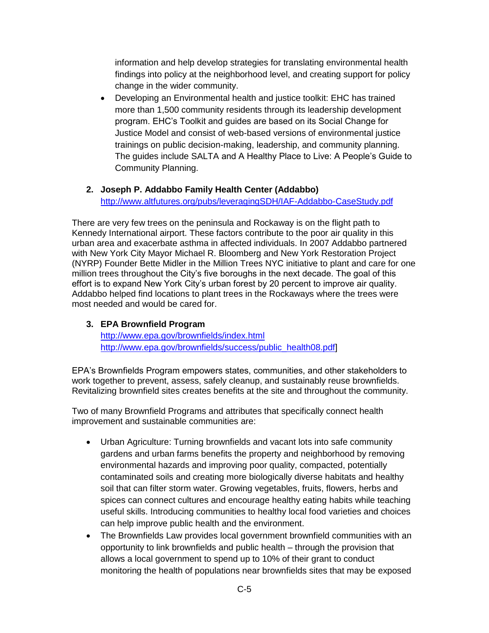information and help develop strategies for translating environmental health findings into policy at the neighborhood level, and creating support for policy change in the wider community.

 Developing an Environmental health and justice toolkit: EHC has trained more than 1,500 community residents through its leadership development program. EHC's Toolkit and guides are based on its Social Change for Justice Model and consist of web-based versions of environmental justice trainings on public decision-making, leadership, and community planning. The guides include SALTA and A Healthy Place to Live: A People's Guide to Community Planning.

#### **2. Joseph P. Addabbo Family Health Center (Addabbo)** <http://www.altfutures.org/pubs/leveragingSDH/IAF-Addabbo-CaseStudy.pdf>

There are very few trees on the peninsula and Rockaway is on the flight path to Kennedy International airport. These factors contribute to the poor air quality in this urban area and exacerbate asthma in affected individuals. In 2007 Addabbo partnered with New York City Mayor Michael R. Bloomberg and New York Restoration Project (NYRP) Founder Bette Midler in the Million Trees NYC initiative to plant and care for one million trees throughout the City's five boroughs in the next decade. The goal of this effort is to expand New York City's urban forest by 20 percent to improve air quality. Addabbo helped find locations to plant trees in the Rockaways where the trees were most needed and would be cared for.

### **3. EPA Brownfield Program**

<http://www.epa.gov/brownfields/index.html> [http://www.epa.gov/brownfields/success/public\\_health08.pdf\]](http://www.epa.gov/brownfields/success/public_health08.pdf)

EPA's Brownfields Program empowers states, communities, and other stakeholders to work together to prevent, assess, safely cleanup, and sustainably reuse brownfields. Revitalizing brownfield sites creates benefits at the site and throughout the community.

Two of many Brownfield Programs and attributes that specifically connect health improvement and sustainable communities are:

- Urban Agriculture: Turning brownfields and vacant lots into safe community gardens and urban farms benefits the property and neighborhood by removing environmental hazards and improving poor quality, compacted, potentially contaminated soils and creating more biologically diverse habitats and healthy soil that can filter storm water. Growing vegetables, fruits, flowers, herbs and spices can connect cultures and encourage healthy eating habits while teaching useful skills. Introducing communities to healthy local food varieties and choices can help improve public health and the environment.
- The Brownfields Law provides local government brownfield communities with an opportunity to link brownfields and public health – through the provision that allows a local government to spend up to 10% of their grant to conduct monitoring the health of populations near brownfields sites that may be exposed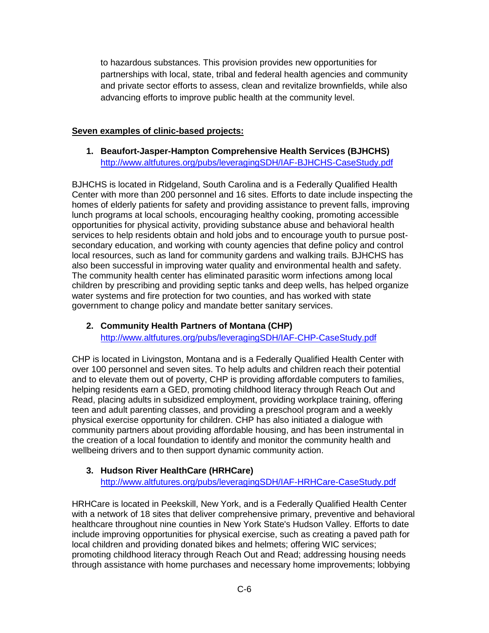to hazardous substances. This provision provides new opportunities for partnerships with local, state, tribal and federal health agencies and community and private sector efforts to assess, clean and revitalize brownfields, while also advancing efforts to improve public health at the community level.

### **Seven examples of clinic-based projects:**

**1. Beaufort-Jasper-Hampton Comprehensive Health Services (BJHCHS)** <http://www.altfutures.org/pubs/leveragingSDH/IAF-BJHCHS-CaseStudy.pdf>

BJHCHS is located in Ridgeland, South Carolina and is a Federally Qualified Health Center with more than 200 personnel and 16 sites. Efforts to date include inspecting the homes of elderly patients for safety and providing assistance to prevent falls, improving lunch programs at local schools, encouraging healthy cooking, promoting accessible opportunities for physical activity, providing substance abuse and behavioral health services to help residents obtain and hold jobs and to encourage youth to pursue postsecondary education, and working with county agencies that define policy and control local resources, such as land for community gardens and walking trails. BJHCHS has also been successful in improving water quality and environmental health and safety. The community health center has eliminated parasitic worm infections among local children by prescribing and providing septic tanks and deep wells, has helped organize water systems and fire protection for two counties, and has worked with state government to change policy and mandate better sanitary services.

### **2. Community Health Partners of Montana (CHP)** <http://www.altfutures.org/pubs/leveragingSDH/IAF-CHP-CaseStudy.pdf>

CHP is located in Livingston, Montana and is a Federally Qualified Health Center with over 100 personnel and seven sites. To help adults and children reach their potential and to elevate them out of poverty, CHP is providing affordable computers to families, helping residents earn a GED, promoting childhood literacy through Reach Out and Read, placing adults in subsidized employment, providing workplace training, offering teen and adult parenting classes, and providing a preschool program and a weekly physical exercise opportunity for children. CHP has also initiated a dialogue with community partners about providing affordable housing, and has been instrumental in the creation of a local foundation to identify and monitor the community health and wellbeing drivers and to then support dynamic community action.

## **3. Hudson River HealthCare (HRHCare)**

<http://www.altfutures.org/pubs/leveragingSDH/IAF-HRHCare-CaseStudy.pdf>

HRHCare is located in Peekskill, New York, and is a Federally Qualified Health Center with a network of 18 sites that deliver comprehensive primary, preventive and behavioral healthcare throughout nine counties in New York State's Hudson Valley. Efforts to date include improving opportunities for physical exercise, such as creating a paved path for local children and providing donated bikes and helmets; offering WIC services; promoting childhood literacy through Reach Out and Read; addressing housing needs through assistance with home purchases and necessary home improvements; lobbying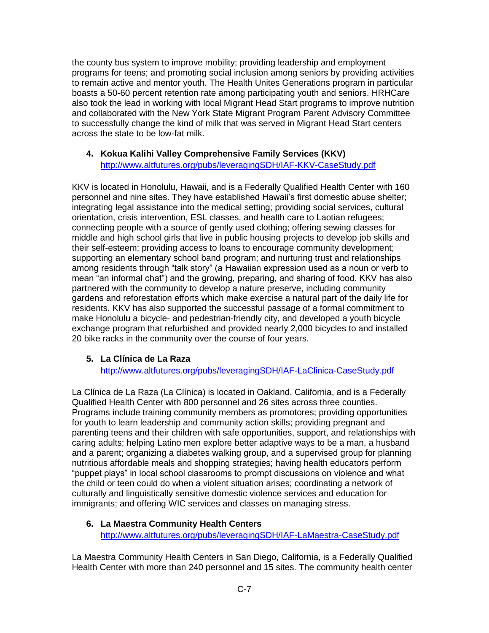the county bus system to improve mobility; providing leadership and employment programs for teens; and promoting social inclusion among seniors by providing activities to remain active and mentor youth. The Health Unites Generations program in particular boasts a 50-60 percent retention rate among participating youth and seniors. HRHCare also took the lead in working with local Migrant Head Start programs to improve nutrition and collaborated with the New York State Migrant Program Parent Advisory Committee to successfully change the kind of milk that was served in Migrant Head Start centers across the state to be low-fat milk.

## **4. Kokua Kalihi Valley Comprehensive Family Services (KKV)**

<http://www.altfutures.org/pubs/leveragingSDH/IAF-KKV-CaseStudy.pdf>

KKV is located in Honolulu, Hawaii, and is a Federally Qualified Health Center with 160 personnel and nine sites. They have established Hawaii's first domestic abuse shelter; integrating legal assistance into the medical setting; providing social services, cultural orientation, crisis intervention, ESL classes, and health care to Laotian refugees; connecting people with a source of gently used clothing; offering sewing classes for middle and high school girls that live in public housing projects to develop job skills and their self-esteem; providing access to loans to encourage community development; supporting an elementary school band program; and nurturing trust and relationships among residents through "talk story" (a Hawaiian expression used as a noun or verb to mean "an informal chat") and the growing, preparing, and sharing of food. KKV has also partnered with the community to develop a nature preserve, including community gardens and reforestation efforts which make exercise a natural part of the daily life for residents. KKV has also supported the successful passage of a formal commitment to make Honolulu a bicycle- and pedestrian-friendly city, and developed a youth bicycle exchange program that refurbished and provided nearly 2,000 bicycles to and installed 20 bike racks in the community over the course of four years.

### **5. La Clínica de La Raza**

<http://www.altfutures.org/pubs/leveragingSDH/IAF-LaClinica-CaseStudy.pdf>

La Clínica de La Raza (La Clínica) is located in Oakland, California, and is a Federally Qualified Health Center with 800 personnel and 26 sites across three counties. Programs include training community members as promotores; providing opportunities for youth to learn leadership and community action skills; providing pregnant and parenting teens and their children with safe opportunities, support, and relationships with caring adults; helping Latino men explore better adaptive ways to be a man, a husband and a parent; organizing a diabetes walking group, and a supervised group for planning nutritious affordable meals and shopping strategies; having health educators perform "puppet plays" in local school classrooms to prompt discussions on violence and what the child or teen could do when a violent situation arises; coordinating a network of culturally and linguistically sensitive domestic violence services and education for immigrants; and offering WIC services and classes on managing stress.

### **6. La Maestra Community Health Centers** <http://www.altfutures.org/pubs/leveragingSDH/IAF-LaMaestra-CaseStudy.pdf>

La Maestra Community Health Centers in San Diego, California, is a Federally Qualified Health Center with more than 240 personnel and 15 sites. The community health center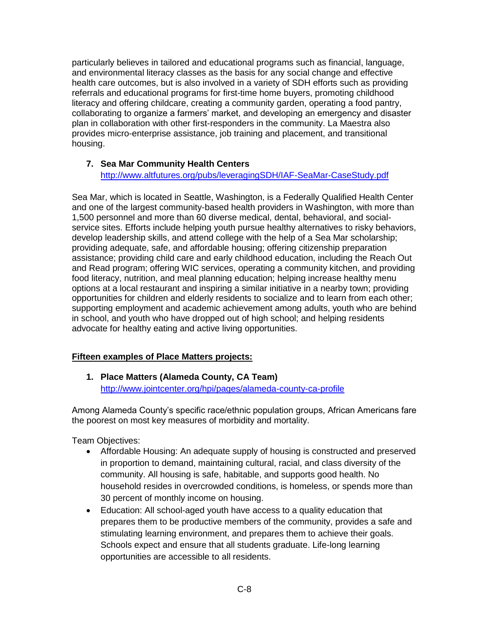particularly believes in tailored and educational programs such as financial, language, and environmental literacy classes as the basis for any social change and effective health care outcomes, but is also involved in a variety of SDH efforts such as providing referrals and educational programs for first-time home buyers, promoting childhood literacy and offering childcare, creating a community garden, operating a food pantry, collaborating to organize a farmers' market, and developing an emergency and disaster plan in collaboration with other first-responders in the community. La Maestra also provides micro-enterprise assistance, job training and placement, and transitional housing.

### **7. Sea Mar Community Health Centers**

<http://www.altfutures.org/pubs/leveragingSDH/IAF-SeaMar-CaseStudy.pdf>

Sea Mar, which is located in Seattle, Washington, is a Federally Qualified Health Center and one of the largest community-based health providers in Washington, with more than 1,500 personnel and more than 60 diverse medical, dental, behavioral, and socialservice sites. Efforts include helping youth pursue healthy alternatives to risky behaviors, develop leadership skills, and attend college with the help of a Sea Mar scholarship; providing adequate, safe, and affordable housing; offering citizenship preparation assistance; providing child care and early childhood education, including the Reach Out and Read program; offering WIC services, operating a community kitchen, and providing food literacy, nutrition, and meal planning education; helping increase healthy menu options at a local restaurant and inspiring a similar initiative in a nearby town; providing opportunities for children and elderly residents to socialize and to learn from each other; supporting employment and academic achievement among adults, youth who are behind in school, and youth who have dropped out of high school; and helping residents advocate for healthy eating and active living opportunities.

#### **Fifteen examples of Place Matters projects:**

**1. Place Matters (Alameda County, CA Team)** <http://www.jointcenter.org/hpi/pages/alameda-county-ca-profile>

Among Alameda County's specific race/ethnic population groups, African Americans fare the poorest on most key measures of morbidity and mortality.

Team Objectives:

- Affordable Housing: An adequate supply of housing is constructed and preserved in proportion to demand, maintaining cultural, racial, and class diversity of the community. All housing is safe, habitable, and supports good health. No household resides in overcrowded conditions, is homeless, or spends more than 30 percent of monthly income on housing.
- Education: All school-aged youth have access to a quality education that prepares them to be productive members of the community, provides a safe and stimulating learning environment, and prepares them to achieve their goals. Schools expect and ensure that all students graduate. Life-long learning opportunities are accessible to all residents.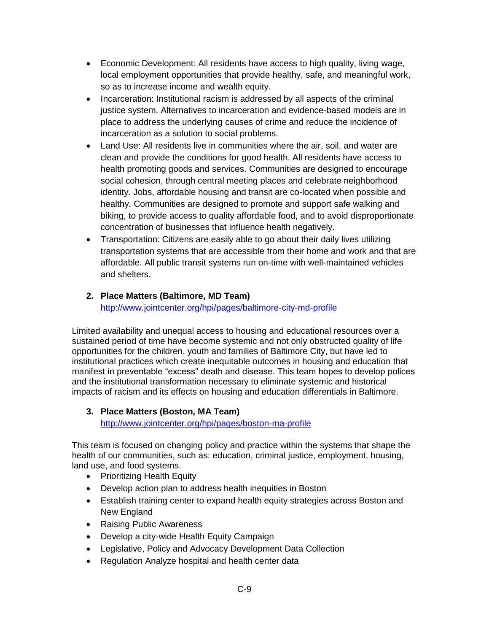- Economic Development: All residents have access to high quality, living wage, local employment opportunities that provide healthy, safe, and meaningful work, so as to increase income and wealth equity.
- Incarceration: Institutional racism is addressed by all aspects of the criminal justice system. Alternatives to incarceration and evidence-based models are in place to address the underlying causes of crime and reduce the incidence of incarceration as a solution to social problems.
- Land Use: All residents live in communities where the air, soil, and water are clean and provide the conditions for good health. All residents have access to health promoting goods and services. Communities are designed to encourage social cohesion, through central meeting places and celebrate neighborhood identity. Jobs, affordable housing and transit are co-located when possible and healthy. Communities are designed to promote and support safe walking and biking, to provide access to quality affordable food, and to avoid disproportionate concentration of businesses that influence health negatively.
- Transportation: Citizens are easily able to go about their daily lives utilizing transportation systems that are accessible from their home and work and that are affordable. All public transit systems run on-time with well-maintained vehicles and shelters.

# **2. Place Matters (Baltimore, MD Team)**

<http://www.jointcenter.org/hpi/pages/baltimore-city-md-profile>

Limited availability and unequal access to housing and educational resources over a sustained period of time have become systemic and not only obstructed quality of life opportunities for the children, youth and families of Baltimore City, but have led to institutional practices which create inequitable outcomes in housing and education that manifest in preventable "excess" death and disease. This team hopes to develop polices and the institutional transformation necessary to eliminate systemic and historical impacts of racism and its effects on housing and education differentials in Baltimore.

## **3. Place Matters (Boston, MA Team)**

<http://www.jointcenter.org/hpi/pages/boston-ma-profile>

This team is focused on changing policy and practice within the systems that shape the health of our communities, such as: education, criminal justice, employment, housing, land use, and food systems.

- Prioritizing Health Equity
- Develop action plan to address health inequities in Boston
- Establish training center to expand health equity strategies across Boston and New England
- Raising Public Awareness
- Develop a city-wide Health Equity Campaign
- Legislative, Policy and Advocacy Development Data Collection
- Regulation Analyze hospital and health center data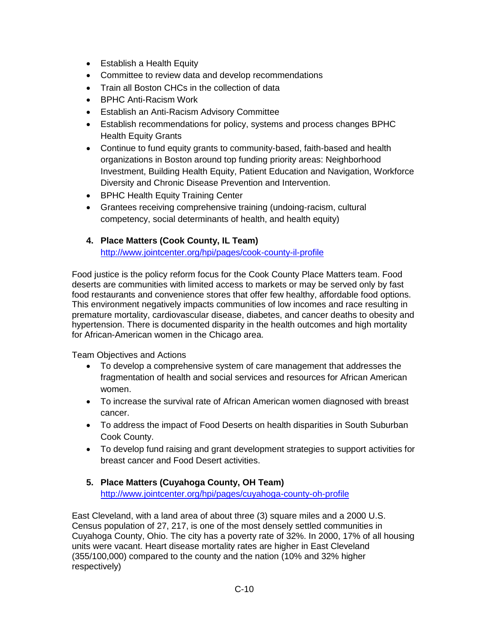- Establish a Health Equity
- Committee to review data and develop recommendations
- Train all Boston CHCs in the collection of data
- BPHC Anti-Racism Work
- Establish an Anti-Racism Advisory Committee
- Establish recommendations for policy, systems and process changes BPHC Health Equity Grants
- Continue to fund equity grants to community-based, faith-based and health organizations in Boston around top funding priority areas: Neighborhood Investment, Building Health Equity, Patient Education and Navigation, Workforce Diversity and Chronic Disease Prevention and Intervention.
- BPHC Health Equity Training Center
- Grantees receiving comprehensive training (undoing-racism, cultural competency, social determinants of health, and health equity)

### **4. Place Matters (Cook County, IL Team)**

<http://www.jointcenter.org/hpi/pages/cook-county-il-profile>

Food justice is the policy reform focus for the Cook County Place Matters team. Food deserts are communities with limited access to markets or may be served only by fast food restaurants and convenience stores that offer few healthy, affordable food options. This environment negatively impacts communities of low incomes and race resulting in premature mortality, cardiovascular disease, diabetes, and cancer deaths to obesity and hypertension. There is documented disparity in the health outcomes and high mortality for African-American women in the Chicago area.

Team Objectives and Actions

- To develop a comprehensive system of care management that addresses the fragmentation of health and social services and resources for African American women.
- To increase the survival rate of African American women diagnosed with breast cancer.
- To address the impact of Food Deserts on health disparities in South Suburban Cook County.
- To develop fund raising and grant development strategies to support activities for breast cancer and Food Desert activities.
- **5. Place Matters (Cuyahoga County, OH Team)** <http://www.jointcenter.org/hpi/pages/cuyahoga-county-oh-profile>

East Cleveland, with a land area of about three (3) square miles and a 2000 U.S. Census population of 27, 217, is one of the most densely settled communities in Cuyahoga County, Ohio. The city has a poverty rate of 32%. In 2000, 17% of all housing units were vacant. Heart disease mortality rates are higher in East Cleveland (355/100,000) compared to the county and the nation (10% and 32% higher respectively)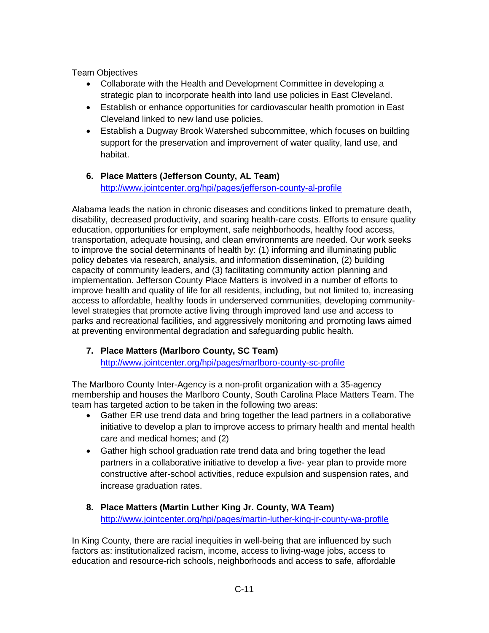Team Objectives

- Collaborate with the Health and Development Committee in developing a strategic plan to incorporate health into land use policies in East Cleveland.
- Establish or enhance opportunities for cardiovascular health promotion in East Cleveland linked to new land use policies.
- Establish a Dugway Brook Watershed subcommittee, which focuses on building support for the preservation and improvement of water quality, land use, and habitat.
- **6. Place Matters (Jefferson County, AL Team)** <http://www.jointcenter.org/hpi/pages/jefferson-county-al-profile>

Alabama leads the nation in chronic diseases and conditions linked to premature death, disability, decreased productivity, and soaring health-care costs. Efforts to ensure quality education, opportunities for employment, safe neighborhoods, healthy food access, transportation, adequate housing, and clean environments are needed. Our work seeks to improve the social determinants of health by: (1) informing and illuminating public policy debates via research, analysis, and information dissemination, (2) building capacity of community leaders, and (3) facilitating community action planning and implementation. Jefferson County Place Matters is involved in a number of efforts to improve health and quality of life for all residents, including, but not limited to, increasing access to affordable, healthy foods in underserved communities, developing communitylevel strategies that promote active living through improved land use and access to parks and recreational facilities, and aggressively monitoring and promoting laws aimed at preventing environmental degradation and safeguarding public health.

## **7. Place Matters (Marlboro County, SC Team)**

<http://www.jointcenter.org/hpi/pages/marlboro-county-sc-profile>

The Marlboro County Inter-Agency is a non-profit organization with a 35-agency membership and houses the Marlboro County, South Carolina Place Matters Team. The team has targeted action to be taken in the following two areas:

- Gather ER use trend data and bring together the lead partners in a collaborative initiative to develop a plan to improve access to primary health and mental health care and medical homes; and (2)
- Gather high school graduation rate trend data and bring together the lead partners in a collaborative initiative to develop a five- year plan to provide more constructive after-school activities, reduce expulsion and suspension rates, and increase graduation rates.
- **8. Place Matters (Martin Luther King Jr. County, WA Team)** <http://www.jointcenter.org/hpi/pages/martin-luther-king-jr-county-wa-profile>

In King County, there are racial inequities in well-being that are influenced by such factors as: institutionalized racism, income, access to living-wage jobs, access to education and resource-rich schools, neighborhoods and access to safe, affordable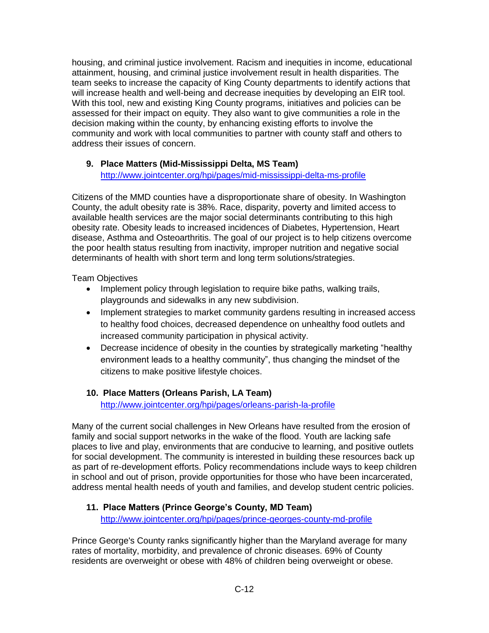housing, and criminal justice involvement. Racism and inequities in income, educational attainment, housing, and criminal justice involvement result in health disparities. The team seeks to increase the capacity of King County departments to identify actions that will increase health and well-being and decrease inequities by developing an EIR tool. With this tool, new and existing King County programs, initiatives and policies can be assessed for their impact on equity. They also want to give communities a role in the decision making within the county, by enhancing existing efforts to involve the community and work with local communities to partner with county staff and others to address their issues of concern.

### **9. Place Matters (Mid-Mississippi Delta, MS Team)**

<http://www.jointcenter.org/hpi/pages/mid-mississippi-delta-ms-profile>

Citizens of the MMD counties have a disproportionate share of obesity. In Washington County, the adult obesity rate is 38%. Race, disparity, poverty and limited access to available health services are the major social determinants contributing to this high obesity rate. Obesity leads to increased incidences of Diabetes, Hypertension, Heart disease, Asthma and Osteoarthritis. The goal of our project is to help citizens overcome the poor health status resulting from inactivity, improper nutrition and negative social determinants of health with short term and long term solutions/strategies.

Team Objectives

- Implement policy through legislation to require bike paths, walking trails, playgrounds and sidewalks in any new subdivision.
- Implement strategies to market community gardens resulting in increased access to healthy food choices, decreased dependence on unhealthy food outlets and increased community participation in physical activity.
- Decrease incidence of obesity in the counties by strategically marketing "healthy environment leads to a healthy community", thus changing the mindset of the citizens to make positive lifestyle choices.

### **10. Place Matters (Orleans Parish, LA Team)** <http://www.jointcenter.org/hpi/pages/orleans-parish-la-profile>

Many of the current social challenges in New Orleans have resulted from the erosion of family and social support networks in the wake of the flood. Youth are lacking safe places to live and play, environments that are conducive to learning, and positive outlets for social development. The community is interested in building these resources back up as part of re-development efforts. Policy recommendations include ways to keep children in school and out of prison, provide opportunities for those who have been incarcerated, address mental health needs of youth and families, and develop student centric policies.

### **11. Place Matters (Prince George's County, MD Team)**

<http://www.jointcenter.org/hpi/pages/prince-georges-county-md-profile>

Prince George's County ranks significantly higher than the Maryland average for many rates of mortality, morbidity, and prevalence of chronic diseases. 69% of County residents are overweight or obese with 48% of children being overweight or obese.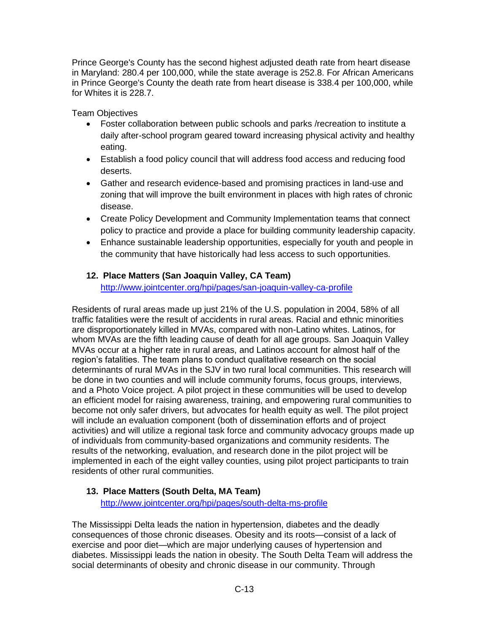Prince George's County has the second highest adjusted death rate from heart disease in Maryland: 280.4 per 100,000, while the state average is 252.8. For African Americans in Prince George's County the death rate from heart disease is 338.4 per 100,000, while for Whites it is 228.7.

Team Objectives

- Foster collaboration between public schools and parks /recreation to institute a daily after-school program geared toward increasing physical activity and healthy eating.
- Establish a food policy council that will address food access and reducing food deserts.
- Gather and research evidence-based and promising practices in land-use and zoning that will improve the built environment in places with high rates of chronic disease.
- Create Policy Development and Community Implementation teams that connect policy to practice and provide a place for building community leadership capacity.
- Enhance sustainable leadership opportunities, especially for youth and people in the community that have historically had less access to such opportunities.

### **12. Place Matters (San Joaquin Valley, CA Team)**

<http://www.jointcenter.org/hpi/pages/san-joaquin-valley-ca-profile>

Residents of rural areas made up just 21% of the U.S. population in 2004, 58% of all traffic fatalities were the result of accidents in rural areas. Racial and ethnic minorities are disproportionately killed in MVAs, compared with non-Latino whites. Latinos, for whom MVAs are the fifth leading cause of death for all age groups. San Joaquin Valley MVAs occur at a higher rate in rural areas, and Latinos account for almost half of the region's fatalities. The team plans to conduct qualitative research on the social determinants of rural MVAs in the SJV in two rural local communities. This research will be done in two counties and will include community forums, focus groups, interviews, and a Photo Voice project. A pilot project in these communities will be used to develop an efficient model for raising awareness, training, and empowering rural communities to become not only safer drivers, but advocates for health equity as well. The pilot project will include an evaluation component (both of dissemination efforts and of project activities) and will utilize a regional task force and community advocacy groups made up of individuals from community-based organizations and community residents. The results of the networking, evaluation, and research done in the pilot project will be implemented in each of the eight valley counties, using pilot project participants to train residents of other rural communities.

# **13. Place Matters (South Delta, MA Team)**

<http://www.jointcenter.org/hpi/pages/south-delta-ms-profile>

The Mississippi Delta leads the nation in hypertension, diabetes and the deadly consequences of those chronic diseases. Obesity and its roots—consist of a lack of exercise and poor diet—which are major underlying causes of hypertension and diabetes. Mississippi leads the nation in obesity. The South Delta Team will address the social determinants of obesity and chronic disease in our community. Through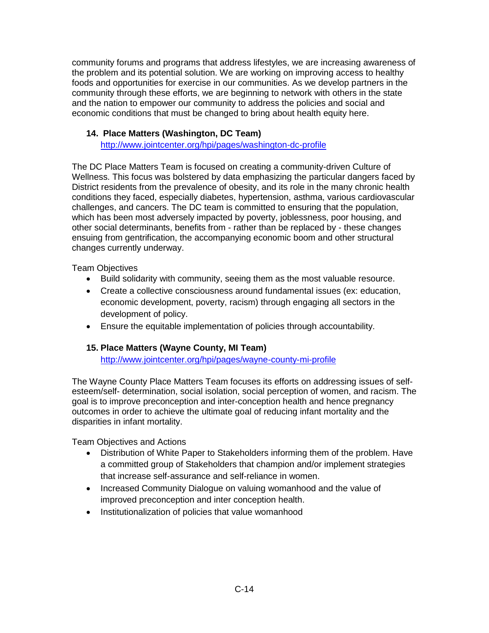community forums and programs that address lifestyles, we are increasing awareness of the problem and its potential solution. We are working on improving access to healthy foods and opportunities for exercise in our communities. As we develop partners in the community through these efforts, we are beginning to network with others in the state and the nation to empower our community to address the policies and social and economic conditions that must be changed to bring about health equity here.

### **14. Place Matters (Washington, DC Team)**

<http://www.jointcenter.org/hpi/pages/washington-dc-profile>

The DC Place Matters Team is focused on creating a community-driven Culture of Wellness. This focus was bolstered by data emphasizing the particular dangers faced by District residents from the prevalence of obesity, and its role in the many chronic health conditions they faced, especially diabetes, hypertension, asthma, various cardiovascular challenges, and cancers. The DC team is committed to ensuring that the population, which has been most adversely impacted by poverty, joblessness, poor housing, and other social determinants, benefits from - rather than be replaced by - these changes ensuing from gentrification, the accompanying economic boom and other structural changes currently underway.

Team Objectives

- Build solidarity with community, seeing them as the most valuable resource.
- Create a collective consciousness around fundamental issues (ex: education, economic development, poverty, racism) through engaging all sectors in the development of policy.
- Ensure the equitable implementation of policies through accountability.

#### **15. Place Matters (Wayne County, MI Team)**

<http://www.jointcenter.org/hpi/pages/wayne-county-mi-profile>

The Wayne County Place Matters Team focuses its efforts on addressing issues of selfesteem/self- determination, social isolation, social perception of women, and racism. The goal is to improve preconception and inter-conception health and hence pregnancy outcomes in order to achieve the ultimate goal of reducing infant mortality and the disparities in infant mortality.

Team Objectives and Actions

- Distribution of White Paper to Stakeholders informing them of the problem. Have a committed group of Stakeholders that champion and/or implement strategies that increase self-assurance and self-reliance in women.
- Increased Community Dialogue on valuing womanhood and the value of improved preconception and inter conception health.
- Institutionalization of policies that value womanhood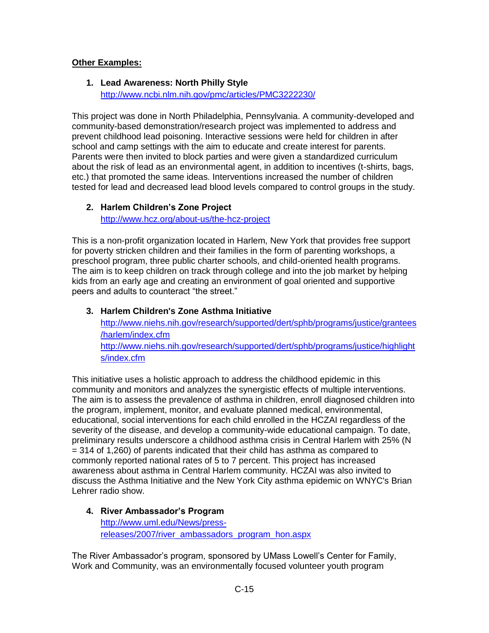### **Other Examples:**

### **1. Lead Awareness: North Philly Style**

<http://www.ncbi.nlm.nih.gov/pmc/articles/PMC3222230/>

This project was done in North Philadelphia, Pennsylvania. A community-developed and community-based demonstration/research project was implemented to address and prevent childhood lead poisoning. Interactive sessions were held for children in after school and camp settings with the aim to educate and create interest for parents. Parents were then invited to block parties and were given a standardized curriculum about the risk of lead as an environmental agent, in addition to incentives (t-shirts, bags, etc.) that promoted the same ideas. Interventions increased the number of children tested for lead and decreased lead blood levels compared to control groups in the study.

### **2. Harlem Children's Zone Project**

<http://www.hcz.org/about-us/the-hcz-project>

This is a non-profit organization located in Harlem, New York that provides free support for poverty stricken children and their families in the form of parenting workshops, a preschool program, three public charter schools, and child-oriented health programs. The aim is to keep children on track through college and into the job market by helping kids from an early age and creating an environment of goal oriented and supportive peers and adults to counteract "the street."

## **3. Harlem Children's Zone Asthma Initiative** [http://www.niehs.nih.gov/research/supported/dert/sphb/programs/justice/grantees](http://www.niehs.nih.gov/research/supported/dert/sphb/programs/justice/grantees/harlem/index.cfm) [/harlem/index.cfm](http://www.niehs.nih.gov/research/supported/dert/sphb/programs/justice/grantees/harlem/index.cfm) [http://www.niehs.nih.gov/research/supported/dert/sphb/programs/justice/highlight](http://www.niehs.nih.gov/research/supported/dert/sphb/programs/justice/highlights/index.cfm) [s/index.cfm](http://www.niehs.nih.gov/research/supported/dert/sphb/programs/justice/highlights/index.cfm)

This initiative uses a holistic approach to address the childhood epidemic in this community and monitors and analyzes the synergistic effects of multiple interventions. The aim is to assess the prevalence of asthma in children, enroll diagnosed children into the program, implement, monitor, and evaluate planned medical, environmental, educational, social interventions for each child enrolled in the HCZAI regardless of the severity of the disease, and develop a community-wide educational campaign. To date, preliminary results underscore a childhood asthma crisis in Central Harlem with 25% (N = 314 of 1,260) of parents indicated that their child has asthma as compared to commonly reported national rates of 5 to 7 percent. This project has increased awareness about asthma in Central Harlem community. HCZAI was also invited to discuss the Asthma Initiative and the New York City asthma epidemic on WNYC's Brian Lehrer radio show.

### **4. River Ambassador's Program** [http://www.uml.edu/News/press](http://www.uml.edu/News/press-releases/2007/river_ambassadors_program_hon.aspx)[releases/2007/river\\_ambassadors\\_program\\_hon.aspx](http://www.uml.edu/News/press-releases/2007/river_ambassadors_program_hon.aspx)

The River Ambassador's program, sponsored by UMass Lowell's Center for Family, Work and Community, was an environmentally focused volunteer youth program